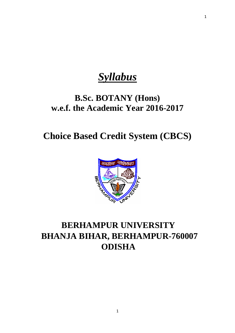# *Syllabus*

# **B.Sc. BOTANY (Hons) w.e.f. the Academic Year 2016-2017**

**Choice Based Credit System (CBCS)**



# **BERHAMPUR UNIVERSITY BHANJA BIHAR, BERHAMPUR-760007 ODISHA**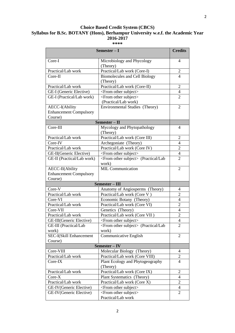# **Choice Based Credit System (CBCS) Syllabus for B.Sc. BOTANY (Hons), Berhampur University w.e.f. the Academic Year 2016-2017**

| **** |  |
|------|--|
|------|--|

| Semester - I<br><b>Credits</b> |                                                   |                |
|--------------------------------|---------------------------------------------------|----------------|
| Core-I                         | Microbiology and Phycology<br>(Theory)            | 4              |
| Practical/Lab work             | Practical/Lab work (Core-I)                       | $\mathbf{2}$   |
| Core-II                        | <b>Biomolecules and Cell Biology</b>              | 4              |
|                                | (Theory)                                          |                |
| Practical/Lab work             | Practical/Lab work (Core-II)                      | $\overline{2}$ |
| GE-I (Generic Elective)        | <from other="" subject=""></from>                 | $\overline{4}$ |
| GE-I (Practical/Lab work)      | <from other="" subject=""></from>                 | $\overline{2}$ |
|                                | (Practical/Lab work)                              |                |
| AECC-I(Ability                 | Environmental Studies (Theory)                    | 2              |
| <b>Enhancement Compulsory</b>  |                                                   |                |
| Course)                        |                                                   |                |
|                                | Semester - II                                     |                |
| Core-III                       | Mycology and Phytopathology                       | 4              |
|                                | (Theory)                                          |                |
| Practical/Lab work             | Practical/Lab work (Core III)                     | $\overline{2}$ |
| Core-IV                        | Archegoniate (Theory)                             | 4              |
| Practical/Lab work             | Practical/Lab work (Core IV)                      | $\overline{2}$ |
| GE-II(Generic Elective)        | <from other="" subject=""></from>                 | $\overline{4}$ |
| GE-II (Practical/Lab work)     | <from other="" subject=""> (Practical/Lab</from>  | $\overline{2}$ |
|                                | work)                                             |                |
| AECC-II(Ability                | <b>MIL Communication</b>                          | $\overline{2}$ |
| <b>Enhancement Compulsory</b>  |                                                   |                |
| Course)                        |                                                   |                |
|                                | Semester - III                                    |                |
| Core-V                         | Anatomy of Angiosperms (Theory)                   | 4              |
| Practical/Lab work             | Practical/Lab work (Core V)                       | $\overline{2}$ |
| Core-VI                        | Economic Botany (Theory)                          | $\overline{4}$ |
| Practical/Lab work             | Practical/Lab work (Core VI)                      | $\overline{2}$ |
| Core-VII                       | Genetics (Theory)                                 | $\overline{4}$ |
| Practical/Lab work             | Practical/Lab work (Core VII)                     | $\overline{2}$ |
| GE-III(Generic Elective)       | <from other="" subject=""></from>                 | 4              |
| GE-III (Practical/Lab          | <from other="" subject=""> (Practical/Lab)</from> | $\overline{2}$ |
| work)                          | work)                                             |                |
| SEC-I(Skill Enhancement        | Communicative English                             | $\overline{2}$ |
| Course)                        |                                                   |                |
| Semester – IV                  |                                                   |                |
| Core-VIII                      | Molecular Biology (Theory)                        | 4              |
| Practical/Lab work             | Practical/Lab work (Core VIII)                    | $\mathbf{2}$   |
| Core-IX                        | Plant Ecology and Phytogeography<br>(Theory)      | $\overline{4}$ |
| Practical/Lab work             | Practical/Lab work (Core IX)                      | $\overline{2}$ |
| Core-X                         | Plant Systematics (Theory)                        | $\overline{4}$ |
| Practical/Lab work             | Practical/Lab work (Core X)                       | $\overline{2}$ |
| GE-IV(Generic Elective)        | <from other="" subject=""></from>                 | 4              |
| GE-IV(Generic Elective)        | <from other="" subject=""></from>                 | $\overline{2}$ |
|                                | Practical/Lab work                                |                |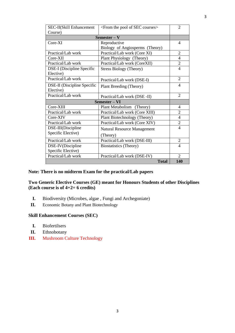| SEC-II(Skill Enhancement           | <from courses="" of="" pool="" sec="" the=""></from> | 2                        |
|------------------------------------|------------------------------------------------------|--------------------------|
| Course)                            |                                                      |                          |
|                                    | $Semester - V$                                       |                          |
| Core-XI                            | Reproductive                                         | 4                        |
|                                    | Biology of Angiosperms (Theory)                      |                          |
| Practical/Lab work                 | Practical/Lab work (Core XI)                         | $\overline{2}$           |
| Core-XII                           | Plant Physiology (Theory)                            | $\overline{4}$           |
| Practical/Lab work                 | Practical/Lab work (CoreXII)                         | $\overline{2}$           |
| DSE-I (Discipline Specific         | <b>Stress Biology (Theory)</b>                       | $\overline{\mathcal{A}}$ |
| Elective)                          |                                                      |                          |
| Practical/Lab work                 | Practical/Lab work (DSE-I)                           | $\overline{2}$           |
| <b>DSE-II</b> (Discipline Specific | Plant Breeding (Theory)                              | 4                        |
| Elective)                          |                                                      |                          |
| Practical/Lab work                 | Practical/Lab work (DSE-II)                          | $\overline{2}$           |
| Semester - VI                      |                                                      |                          |
| Core-XIII                          | Plant Metabolism (Theory)                            | 4                        |
| Practical/Lab work                 | Practical/Lab work (Core XIII)                       | $\overline{2}$           |
| Core-XIV                           | Plant Biotechnology (Theory)                         | $\overline{4}$           |
| Practical/Lab work                 | Practical/Lab work (Core XIV)                        | $\overline{2}$           |
| DSE-III(Discipline                 | <b>Natural Resource Management</b>                   | $\overline{\mathcal{A}}$ |
| Specific Elective)                 | (Theory)                                             |                          |
| Practical/Lab work                 | Practical/Lab work (DSE-III)                         | $\overline{2}$           |
| DSE-IV(Discipline                  | <b>Biostatistics</b> (Theory)                        | $\overline{4}$           |
| Specific Elective)                 |                                                      |                          |
| Practical/Lab work                 | Practical/Lab work (DSE-IV)                          | $\overline{2}$           |
|                                    | <b>Total</b>                                         | 140                      |

# **Note: There is no midterm Exam for the practical/Lab papers**

### **Two Generic Elective Courses (GE) meant for Honours Students of other Disciplines (Each course is of 4+2= 6 credits)**

- **I.** Biodiversity (Microbes, algae , Fungi and Archegoniate)
- **II.** Economic Botany and Plant Biotechnology

# **Skill Enhancement Courses (SEC)**

- **I.** Biofertilsers
- **II.** Ethnobotany
- **III.** Mushroom Culture Technology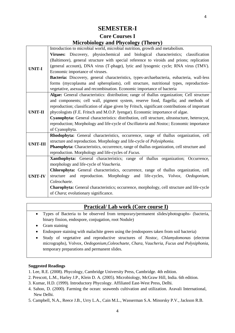# **SEMESTER-I**

# **Core Courses I Microbiology and Phycology (Theory)**

|                 | Introduction to microbial world, microbial nutrition, growth and metabolism.                   |
|-----------------|------------------------------------------------------------------------------------------------|
|                 | Viruses: Discovery, physiochemical and biological characteristics; classification              |
|                 | (Baltimore), general structure with special reference to viroids and prions; replication       |
| <b>UNIT-I</b>   | (general account), DNA virus (T-phage), lytic and lysogenic cycle; RNA virus (TMV).            |
|                 | Economic importance of viruses.                                                                |
|                 | Bacteria: Discovery, general characteristics, types-archaebacteria, eubacteria, wall-less      |
|                 | forms (mycoplasma and spheroplasts), cell structure, nutritional types, reproduction-          |
|                 | vegetative, asexual and recombination. Economic importance of bacteria                         |
|                 | Algae: General characteristics: distribution; range of thallus organization; Cell structure    |
|                 | and components; cell wall, pigment system, reserve food, flagella; and methods of              |
|                 | reproduction; classification of algae given by Fritsch, significant contributions of important |
| <b>UNIT-II</b>  | phycologists (F.E. Fritsch and M.O.P. Iyengar). Economic importance of algae.                  |
|                 | Cyanophyta: General characteristics: distribution, cell structure, ultrastucture, heterocyst,  |
|                 | reproduction; Morphology and life-cycle of Oscillatoria and Nostoc; Economic importance        |
|                 | of Cyanophyta.                                                                                 |
|                 | Rhodophyta: General characteristics, occurrence, range of thallus organization, cell           |
| <b>UNIT-III</b> | structure and reproduction. Morphology and life-cycle of <i>Polysiphonia</i> .                 |
|                 | Phaeophyta: Characteristics, occurrence, range of thallus organization, cell structure and     |
|                 | reproduction. Morphology and life-cycles of Fucus.                                             |
|                 | Xanthophyta: General characteristics; range of thallus organization; Occurrence,               |
|                 | morphology and life-cycle of Vaucheria.                                                        |
| <b>UNIT-IV</b>  | Chlorophyta: General characteristics, occurrence, range of thallus organization, cell          |
|                 | structure and reproduction. Morphology and life-cycles, Volvox, Oedogonium,                    |
|                 | Coleochaete.                                                                                   |
|                 | Charophyta: General characteristics; occurrence, morphology, cell structure and life-cycle     |
|                 | of Chara; evolutionary significance.                                                           |

# **Practical/ Lab work (Core course I)**

- Types of Bacteria to be observed from temporary/permanent slides/photographs- (bacteria, binary fission, endospore, conjugation, root Nodule)
- Gram staining
- Endospore staining with malachite green using the (endospores taken from soil bacteria)
- Study of vegetative and reproductive structures of *Nostoc, Chlamydomonas* (electron micrographs), Volvox, *Oedogonium,Coleochaete, Chara, Vaucheria, Fucus and Polysiphonia,* temporary preparations and permanent slides.

- 1. Lee, R.E. (2008). Phycology, Cambridge University Press, Cambridge. 4th edition.
- 2. Prescott, L.M., Harley J.P., Klein D. A. (2005). Microbiology, McGraw Hill, India. 6th edition.
- 3. Kumar, H.D. (1999). Introductory Phycology. Affiliated East-West Press, Delhi.
- 4. Sahoo, D. (2000). Farming the ocean: seaweeds cultivation and utilization. Aravali International, New Delhi.
- 5. Campbell, N.A., Reece J.B., Urry L.A., Cain M.L., Wasserman S.A. Minorsky P.V., Jackson R.B.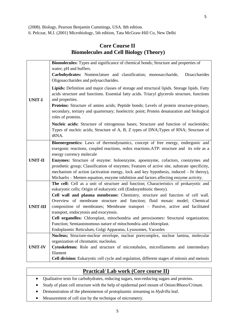(2008). Biology, Pearson Benjamin Cummings, USA. 8th edition.

6. Pelczar, M.J. (2001) Microbiology, 5th edition, Tata McGraw-Hill Co, New Delhi

# **Core Course II Biomolecules and Cell Biology (Theory)**

|                 | Biomolecules: Types and significance of chemical bonds; Structure and properties of                                                                                           |
|-----------------|-------------------------------------------------------------------------------------------------------------------------------------------------------------------------------|
|                 | water; pH and buffers.                                                                                                                                                        |
|                 | Carbohydrates: Nomenclature and classification; monosaccharide,<br>Disaccharides                                                                                              |
|                 | Oligosaccharides and polysaccharides.                                                                                                                                         |
|                 | Lipids: Definition and major classes of storage and structural lipids. Storage lipids. Fatty                                                                                  |
|                 | acids structure and functions. Essential fatty acids. Triacyl glycerols structure, functions                                                                                  |
| <b>UNIT-I</b>   | and properties.                                                                                                                                                               |
|                 | Proteins: Structure of amino acids; Peptide bonds; Levels of protein structure-primary,                                                                                       |
|                 | secondary, tertiary and quarternary; Isoelectric point; Protein denaturation and biological                                                                                   |
|                 | roles of proteins.                                                                                                                                                            |
|                 | Nucleic acids: Structure of nitrogenous bases; Structure and function of nucleotides;                                                                                         |
|                 | Types of nucleic acids; Structure of A, B, Z types of DNA; Types of RNA; Structure of                                                                                         |
|                 | tRNA.                                                                                                                                                                         |
|                 | Bioenergenetics: Laws of thermodynamics, concept of free energy, endergonic and                                                                                               |
|                 | exergonic reactions, coupled reactions, redox reactions.ATP: structure and its role as a                                                                                      |
| <b>UNIT-II</b>  | energy currency molecule                                                                                                                                                      |
|                 | Enzymes: Structure of enzyme: holoenzyme, apoenzyme, cofactors, coenzymes and<br>prosthetic group; Classification of enzymes; Features of active site, substrate specificity, |
|                 | mechanism of action (activation energy, lock and key hypothesis, induced - fit theroy),                                                                                       |
|                 | Michaelis - Menten equation, enzyme inhibition and factors affecting enzyme activity.                                                                                         |
|                 | The cell: Cell as a unit of structure and function; Characteristics of prokaryotic and                                                                                        |
|                 | eukaryotic cells; Origin of eukaryotic cell (Endosymbiotic theory).                                                                                                           |
|                 | Cell wall and plasma membrane: Chemistry, structure and function of cell wall.                                                                                                |
|                 | Overview of membrane structure and function; fluid mosaic model; Chemical                                                                                                     |
| <b>UNIT-III</b> | composition of membranes; Membrane transport - Passive, active and facilitated                                                                                                |
|                 | transport, endocytosis and exocytosis.                                                                                                                                        |
|                 | Cell organelles: Chloroplast, mitochondria and peroxisomes: Structural organization;                                                                                          |
|                 | Function; Semiautonomous nature of mitochondria and chloroplast.                                                                                                              |
|                 | Endoplasmic Reticulum, Golgi Apparatus, Lysosomes, Vacuoles<br>Nucleus; Structure-nuclear envelope, nuclear porecomplex, nuclear lamina, molecular                            |
|                 | organization of chromatin; nucleolus.                                                                                                                                         |
| <b>UNIT-IV</b>  | Cytoskeleton: Role and structure of microtubules, microfilaments and intermediary                                                                                             |
|                 | filament                                                                                                                                                                      |
|                 | Cell division: Eukaryotic cell cycle and regulation, different stages of mitosis and meiosis                                                                                  |

# **Practical/ Lab work (Core course II)**

- Qualitative tests for carbohydrates, reducing sugars, non-reducing sugars and proteins.
- Study of plant cell structure with the help of epidermal peel mount of Onion/*Rhoeo/Crinum*.
- Demonstration of the phenomenon of protoplasmic streaming in *Hydrilla* leaf.
- Measurement of cell size by the technique of micrometry.

5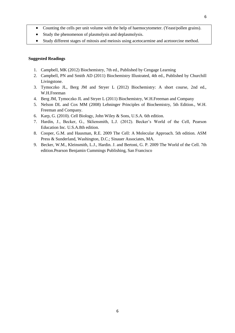- Counting the cells per unit volume with the help of haemocytometer. (Yeast/pollen grains).
- Study the phenomenon of plasmolysis and deplasmolysis.
- Study different stages of mitosis and meiosis using acetocarmine and acetoorcine method.

- 1. Campbell, MK (2012) Biochemistry, 7th ed., Published by Cengage Learning
- 2. Campbell, PN and Smith AD (2011) Biochemistry Illustrated, 4th ed., Published by Churchill Livingstone.
- 3. Tymoczko JL, Berg JM and Stryer L (2012) Biochemistry: A short course, 2nd ed., W.H.Freeman
- 4. Berg JM, Tymoczko JL and Stryer L (2011) Biochemistry, W.H.Freeman and Company
- 5. Nelson DL and Cox MM (2008) Lehninger Principles of Biochemistry, 5th Edition., W.H. Freeman and Company.
- 6. Karp, G. (2010). Cell Biology, John Wiley & Sons, U.S.A. 6th edition.
- 7. Hardin, J., Becker, G., Skliensmith, L.J. (2012). Becker's World of the Cell, Pearson Education Inc. U.S.A.8th edition.
- 8. Cooper, G.M. and Hausman, R.E. 2009 The Cell: A Molecular Approach. 5th edition. ASM Press & Sunderland, Washington, D.C.; Sinauer Associates, MA.
- 9. Becker, W.M., Kleinsmith, L.J., Hardin. J. and Bertoni, G. P. 2009 The World of the Cell. 7th edition.Pearson Benjamin Cummings Publishing, San Francisco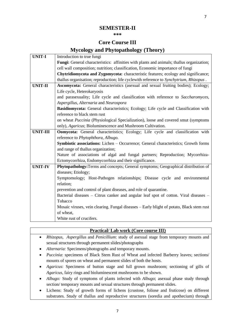# **SEMESTER-II**

#### **\*\*\***

# **Core Course III Mycology and Phytopathology (Theory)**

| <b>UNIT-I</b>   | Introduction to true fungi                                                                       |
|-----------------|--------------------------------------------------------------------------------------------------|
|                 | <b>Fungi:</b> General characteristics: affinities with plants and animals; thallus organization; |
|                 | cell wall composition; nutrition; classification, Economic importance of fungi                   |
|                 | Chytridiomycota and Zygomycota: characteristic features; ecology and significance;               |
|                 | thallus organisation; reproduction; life cyclewith reference to Synchytrium, Rhizopus.           |
| <b>UNIT-II</b>  | Ascomycota: General characteristics (asexual and sexual fruiting bodies); Ecology;               |
|                 | Life cycle, Heterokaryosis                                                                       |
|                 | and parasexuality; Life cycle and classification with reference to Saccharomyces,                |
|                 | Aspergillus, Alternaria and Neurospora                                                           |
|                 | Basidiomycota: General characteristics; Ecology; Life cycle and Classification with              |
|                 | reference to black stem rust                                                                     |
|                 | on wheat Puccinia (Physiological Specialization), loose and covered smut (symptoms               |
|                 | only), Agaricus; Bioluminescence and Mushroom Cultivation.                                       |
| <b>UNIT-III</b> | Oomycota: General characteristics; Ecology; Life cycle and classification with                   |
|                 | reference to Phytophthora, Albugo.                                                               |
|                 | Symbiotic associations: Lichen - Occurrence; General characteristics; Growth forms               |
|                 | and range of thallus organization;                                                               |
|                 | Nature of associations of algal and fungal partners; Reproduction; Mycorrhiza-                   |
|                 | Ectomycorrhiza, Endomycorrhiza and their significance.                                           |
| <b>UNIT-IV</b>  | Phytopathology: Terms and concepts; General symptoms; Geographical distribution of               |
|                 | diseases; Etiology;                                                                              |
|                 | Symptomology; Host-Pathogen relationships; Disease cycle and environmental                       |
|                 | relation;                                                                                        |
|                 | prevention and control of plant diseases, and role of quarantine.                                |
|                 | Bacterial diseases - Citrus canker and angular leaf spot of cotton. Viral diseases -             |
|                 | Tobacco                                                                                          |
|                 | Mosaic viruses, vein clearing. Fungal diseases – Early blight of potato, Black stem rust         |
|                 | of wheat,                                                                                        |
|                 | White rust of crucifers.                                                                         |

### **Practical/ Lab work (Core course III)**

- *Rhizopus, Aspergillus* and *Penicillium*: study of asexual stage from temporary mounts and sexual structures through permanent slides/photographs
- *Alternaria:* Specimens/photographs and temporary mounts.
- *Puccinia*: specimens of Black Stem Rust of Wheat and infected Barberry leaves; sections/ mounts of spores on wheat and permanent slides of both the hosts.
- *Agaricus*: Specimens of button stage and full grown mushroom; sectioning of gills of *Agaricus*, fairy rings and bioluminescent mushrooms to be shown.
- *Albugo:* Study of symptoms of plants infected with *Albugo*; asexual phase study through section/ temporary mounts and sexual structures through permanent slides.
- Lichens: Study of growth forms of lichens (crustose, foliose and fruticose) on different substrates. Study of thallus and reproductive structures (soredia and apothecium) through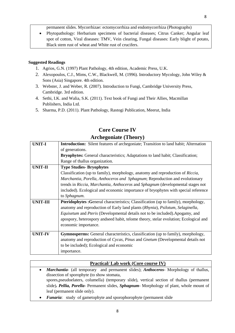permanent slides. Mycorrhizae: ectomycorrhiza and endomycorrhiza (Photographs)

 Phytopathology: Herbarium specimens of bacterial diseases; Citrus Canker; Angular leaf spot of cotton, Viral diseases: TMV, Vein clearing, Fungal diseases: Early blight of potato, Black stem rust of wheat and White rust of crucifers.

### **Suggested Readings**

- 1. Agrios, G.N. (1997) Plant Pathology, 4th edition, Academic Press, U.K.
- 2. Alexopoulos, C.J., Mims, C.W., Blackwell, M. (1996). Introductory Mycology, John Wiley & Sons (Asia) Singapore. 4th edition.
- 3. Webster, J. and Weber, R. (2007). Introduction to Fungi, Cambridge University Press, Cambridge. 3rd edition.
- 4. Sethi, I.K. and Walia, S.K. (2011). Text book of Fungi and Their Allies, Macmillan Publishers, India Ltd.
- 5. Sharma, P.D. (2011). Plant Pathology, Rastogi Publication, Meerut, India

|                 | $A$ i chegoinaic (1 neoi y )                                                              |
|-----------------|-------------------------------------------------------------------------------------------|
| <b>UNIT-I</b>   | Introduction: Silent features of archegoniate; Transition to land habit; Alternation      |
|                 | of generations.                                                                           |
|                 | <b>Bryophytes:</b> General characteristics; Adaptations to land habit; Classification;    |
|                 | Range of thallus organization.                                                            |
| <b>UNIT-II</b>  | <b>Type Studies- Bryophytes</b>                                                           |
|                 | Classification (up to family), morphology, anatomy and reproduction of Riccia,            |
|                 | Marchantia, Porella, Anthoceros and Sphagnum; Reproduction and evolutionary               |
|                 | trends in Riccia, Marchantia, Anthoceros and Sphagnum (developmental stages not           |
|                 | included). Ecological and economic importance of bryophytes with special reference        |
|                 | to Sphagnum.                                                                              |
| <b>UNIT-III</b> | <b>Pteridophytes: General characteristics: Classification (up to family), morphology,</b> |
|                 | anatomy and reproduction of Early land plants (Rhynia), Psilotum, Selaginella,            |
|                 | Equisetum and Pteris (Developmental details not to be included). Apogamy, and             |
|                 | apospory, heterospory andseed habit, telome theory, stelar evolution; Ecological and      |
|                 | economic importance.                                                                      |
| <b>UNIT-IV</b>  | <b>Gymnosperms:</b> General characteristics, classification (up to family), morphology,   |
|                 | anatomy and reproduction of Cycas, Pinus and Gnetum (Developmental details not            |
|                 | to be included); Ecological and economic                                                  |
|                 | importance.                                                                               |
|                 |                                                                                           |

# **Core Course IV Archegoniate (Theory)**

# **Practical/ Lab work (Core course IV)**

- *Marchantia* (all temporary and permanent slides); *Anthoceros* Morphology of thallus, dissection of sporophyte (to show stomata, spores,pseudoelaters, columella) (temporary slide), vertical section of thallus (permanent slide)*. Pellia, Porella*- Permanent slides, *Sphagnum*- Morphology of plant, whole mount of leaf (permanent slide only).
- *Funaria*: study of gametophyte and sporophorophyte (permanent slide

8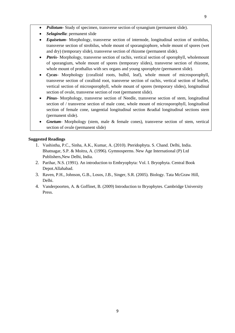- *Psilotum* Study of specimen, transverse section of synangium (permanent slide).
- *Selaginella*: permanent slide
- *Equisetum* Morphology, transverse section of internode, longitudinal section of strobilus, transverse section of strobilus, whole mount of sporangiophore, whole mount of spores (wet and dry) (temporary slide), transverse section of rhizome (permanent slide).
- *Pteris* Morphology, transverse section of rachis, vertical section of sporophyll, wholemount of sporangium, whole mount of spores (temporary slides), transverse section of rhizome, whole mount of prothallus with sex organs and young sporophyte (permanent slide).
- *Cycas* Morphology (coralloid roots, bulbil, leaf), whole mount of microsporophyll, transverse section of coralloid root, transverse section of rachis, vertical section of leaflet, vertical section of microsporophyll, whole mount of spores (temporary slides), longitudinal section of ovule, transverse section of root (permanent slide).
- *Pinus* Morphology, transverse section of Needle, transverse section of stem, longitudinal section of / transverse section of male cone, whole mount of microsporophyll, longitudinal section of female cone, tangential longitudinal section &radial longitudinal sections stem (permanent slide).
- *Gnetum* Morphology (stem, male & female cones), transverse section of stem, vertical section of ovule (permanent slide)

- 1. Vashistha, P.C., Sinha, A.K., Kumar, A. (2010). Pteridophyta. S. Chand. Delhi, India. Bhatnagar, S.P. & Moitra, A. (1996). Gymnosperms. New Age International (P) Ltd Publishers,New Delhi, India.
- 2. Parihar, N.S. (1991). An introduction to Embryophyta: Vol. I. Bryophyta. Central Book Depot.Allahabad.
- 3. Raven, P.H., Johnson, G.B., Losos, J.B., Singer, S.R. (2005). Biology. Tata McGraw Hill, Delhi.
- 4. Vanderpoorten, A. & Goffinet, B. (2009) Introduction to Bryophytes. Cambridge University Press.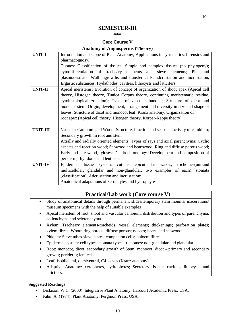## **SEMESTER-III**

#### **\*\*\***

### **Core Course V**

### **Anatomy of Angiosperms (Theory)**

| <b>UNIT-I</b>  | Introduction and scope of Plant Anatomy; Applications in systematics, forensics and |
|----------------|-------------------------------------------------------------------------------------|
|                | pharmacognosy.                                                                      |
|                | Tissues: Classification of tissues; Simple and complex tissues (no phylogeny);      |
|                | cytodifferentiation of tracheary elements and sieve elements; Pits and              |
|                | plasmodesmata; Wall ingrowths and transfer cells, adcrustation and incrustation,    |
|                | Ergastic substances. Hydathodes, cavities, lithocysts and laticifers.               |
| <b>UNIT-II</b> | Apical meristems: Evolution of concept of organization of shoot apex (Apical cell   |
|                | theory, Histogen theory, Tunica Corpus theory, continuing meristematic residue,     |
|                | cytohistological zonation); Types of vascular bundles; Structure of dicot and       |
|                | monocot stem. Origin, development, arrangement and diversity in size and shape of   |
|                | leaves; Structure of dicot and monocot leaf, Kranz anatomy. Organization of         |
|                | root apex (Apical cell theory, Histogen theory, Korper-Kappe theory).               |
|                |                                                                                     |
| UNIT-III       | Vascular Cambium and Wood: Structure, function and seasonal activity of cambium;    |
|                | Secondary growth in root and stem.                                                  |
|                | Axially and radially oriented elements; Types of rays and axial parenchyma; Cyclic  |
|                | aspects and reaction wood; Sapwood and heartwood; Ring and diffuse porous wood;     |
|                | Early and late wood, tyloses; Dendrochronology. Development and composition of      |
|                | periderm, rhytidome and lenticels.                                                  |
| <b>UNIT-IV</b> | Epidermal tissue<br>system, cuticle, epicuticular<br>trichomes(uni-and<br>waxes,    |
|                | multicellular, glandular and non-glandular, two examples of each), stomata          |
|                | (classification); Adcrustation and incrustation;                                    |
|                | Anatomical adaptations of xerophytes and hydrophytes.                               |

# **Practical/Lab work (Core course V)**

- Study of anatomical details through permanent slides/temporary stain mounts/ macerations/ museum specimens with the help of suitable examples
- Apical meristem of root, shoot and vascular cambium, distribution and types of parenchyma, collenchyma and sclerenchyma
- Xylem: Tracheary elements-tracheids, vessel elements; thickenings; perforation plates; xylem fibres; Wood: ring porous; diffuse porous; tyloses; heart- and sapwood
- Phloem: Sieve tubes-sieve plates; companion cells; phloem fibres
- Epidermal system: cell types, stomata types; trichomes: non-glandular and glandular.
- Root: monocot, dicot, secondary growth of Stem: monocot, dicot primary and secondary growth; periderm; lenticels
- Leaf: isobilateral, dorsiventral, C4 leaves (Kranz anatomy)
- Adaptive Anatomy: xerophytes, hydrophytes; Secretory tissues: cavities, lithocysts and laticifers.

- Dickison, W.C. (2000). Integrative Plant Anatomy. Harcourt Academic Press, USA.
- Fahn, A. (1974). Plant Anatomy. Pergmon Press, USA.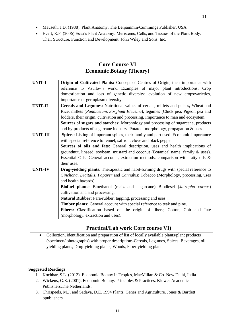- Mauseth, J.D. (1988). Plant Anatomy. The Benjammin/Cummings Publisher, USA.
- Evert, R.F. (2006) Esau's Plant Anatomy: Meristems, Cells, and Tissues of the Plant Body: Their Structure, Function and Development. John Wiley and Sons, Inc.

# **Core Course VI Economic Botany (Theory)**

| <b>UNIT-I</b>   | Origin of Cultivated Plants: Concept of Centres of Origin, their importance with            |
|-----------------|---------------------------------------------------------------------------------------------|
|                 | reference to Vavilov's work. Examples of major plant introductions; Crop                    |
|                 | domestication and loss of genetic diversity; evolution of new crops/varieties,              |
|                 | importance of germplasm diversity.                                                          |
| <b>UNIT-II</b>  | Cereals and Legumes: Nutritional values of cerials, millets and pulses, Wheat and           |
|                 | Rice, millets (Pannicetum, Sorghum Eleusine), legumes (Chick pea, Pigeon pea and            |
|                 | fodders, their origin, cultivation and processing, Importance to man and ecosystem.         |
|                 | <b>Sources of sugars and starches:</b> Morphology and processing of sugarcane, products     |
|                 | and by-products of sugarcane industry. Potato – morphology, propagation $\&$ uses.          |
| <b>UNIT-III</b> | Spices: Listing of important spices, their family and part used. Economic importance        |
|                 | with special reference to fennel, saffron, clove and black pepper                           |
|                 | Sources of oils and fats: General description, uses and health implications of              |
|                 | groundnut, linseed, soybean, mustard and coconut (Botanical name, family & uses).           |
|                 | Essential Oils: General account, extraction methods, comparison with fatty oils $\&$        |
|                 | their uses.                                                                                 |
| <b>UNIT-IV</b>  | Drug-yielding plants: Therapeutic and habit-forming drugs with special reference to         |
|                 | Cinchona, Digitalis, Papaver and Cannabis; Tobacco (Morphology, processing, uses            |
|                 | and health hazards).                                                                        |
|                 | <b>Biofuel plants:</b> Bioethanol (maiz and sugarcane) Biodiesel ( <i>Jatropha carcus</i> ) |
|                 | cultivation and and processing,                                                             |
|                 | Natural Rubber: Para-rubber: tapping, processing and uses.                                  |
|                 | Timber plants: General account with special reference to teak and pine.                     |
|                 | Fibers: Classification based on the origin of fibers; Cotton, Coir and Jute                 |
|                 | (morphology, extraction and uses).                                                          |

# **Practical/Lab work Core course VI)**

 Collection, identification and preparation of list of locally available plants/plant products (specimen/ photographs) with proper description:**-**Cereals, Legumes, Spices, Beverages, oil yielding plants, Drug-yielding plants, Woods, Fiber-yielding plants

- 1. Kochhar, S.L. (2012). Economic Botany in Tropics, MacMillan & Co. New Delhi, India.
- 2. Wickens, G.E. (2001). Economic Botany: Principles & Practices. Kluwer Academic Publishers,The Netherlands.
- 3. Chrispeels, M.J. and Sadava, D.E. 1994 Plants, Genes and Agriculture. Jones & Bartlett opublishers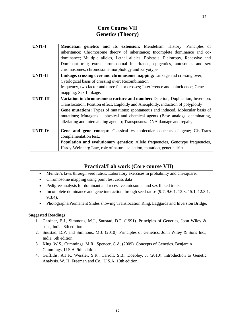# **Core Course VII Genetics (Theory)**

| <b>UNIT-I</b>   | Mendelian genetics and its extension: Mendelism: History; Principles of            |
|-----------------|------------------------------------------------------------------------------------|
|                 | inheritance; Chromosome theory of inheritance; Incomplete dominance and co-        |
|                 | dominance; Multiple alleles, Lethal alleles, Epistasis, Pleiotropy, Recessive and  |
|                 | Dominant trait; extra chromosomal inheritance, epigentics, autosomes and sex       |
|                 | chromosomes; chromosome morphology and karyotype.                                  |
| <b>UNIT-II</b>  | Linkage, crossing over and chromosome mapping: Linkage and crossing over,          |
|                 | Cytological basis of crossing over; Recombination                                  |
|                 | frequency, two factor and three factor crosses; Interference and coincidence; Gene |
|                 | mapping; Sex Linkage.                                                              |
| <b>UNIT-III</b> | Variation in chromosome structure and number: Deletion, Duplication, Inversion,    |
|                 | Translocation, Position effect, Euploidy and Aneuploidy, induction of polyploidy   |
|                 | Gene mutations: Types of mutations: spontaneous and induced, Molecular basis of    |
|                 | mutations; Mutagens – physical and chemical agents (Base analogs, deaminating,     |
|                 | alkylating and intercalating agents); Transposons. DNA damage and repair,          |
| <b>UNIT-IV</b>  | Gene and gene concept: Classical vs molecular concepts of gene; Cis-Trans          |
|                 | complementation test                                                               |
|                 | Population and evolutionary genetics: Allele frequencies, Genotype frequencies,    |
|                 | Hardy-Weinberg Law, role of natural selection, mutation, genetic drift.            |

# **Practical/Lab work (Core course VII)**

- Mendel's laws through seed ratios. Laboratory exercises in probability and chi-square.
- Chromosome mapping using point test cross data
- Pedigree analysis for dominant and recessive autosomal and sex linked traits.
- Incomplete dominance and gene interaction through seed ratios (9:7, 9:6:1, 13:3, 15:1, 12:3:1, 9:3:4).
- Photographs/Permanent Slides showing Translocation Ring, Laggards and Inversion Bridge.

- 1. Gardner, E.J., Simmons, M.J., Snustad, D.P. (1991). Principles of Genetics, John Wiley & sons, India. 8th edition.
- 2. Snustad, D.P. and Simmons, M.J. (2010). Principles of Genetics, John Wiley & Sons Inc., India. 5th edition.
- 3. Klug, W.S., Cummings, M.R., Spencer, C.A. (2009). Concepts of Genetics. Benjamin Cummings, U.S.A. 9th edition.
- 4. Griffiths, A.J.F., Wessler, S.R., Carroll, S.B., Doebley, J. (2010). Introduction to Genetic Analysis. W. H. Freeman and Co., U.S.A. 10th edition.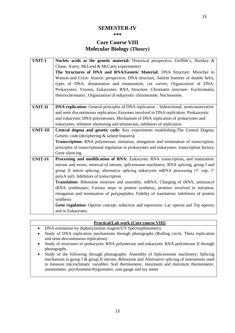# **SEMESTER-IV**

#### **\*\*\***

# **Core Course VIII Molecular Biology (Theory)**

| <b>UNIT-I</b>   | Nucleic acids as the genetic material: Historical perspective; Griffith's, Hershey &            |
|-----------------|-------------------------------------------------------------------------------------------------|
|                 | Chase, Avery, McLeod & McCarty experiments)                                                     |
|                 | The Structures of DNA and RNA/Genetic Material: DNA Structure: Miescher to                      |
|                 | Watson and Crick- historic perspective, DNA structure, Salient features of double helix,        |
|                 | types of DNA, denaturation and renaturation, cot curves; Organization of DNA-                   |
|                 | Prokaryotes, Viruses, Eukaryotes; RNA Structure. Chromatin structure- Euchromatin,              |
|                 | Heterochromatin, Organisation of eukaryotic chromsosme, Nucleosome,                             |
|                 |                                                                                                 |
| <b>UNIT-II</b>  | <b>DNA replication:</b> General principles of DNA replication – bidirectional, semiconservative |
|                 | and semi discontinuous replication; Enzymes involved in DNA replication. Prokasryotic           |
|                 | and eukaryotic DNA polymerases, Mechanism of DNA replication of prokaryotes and                 |
|                 | eukaryotes, telomere shortening and telomerase, inhibitors of replication                       |
| <b>UNIT-III</b> | Central dogma and genetic code: Key experiments establishing-The Central Dogma;                 |
|                 | Genetic code (deciphering & salient features)                                                   |
|                 | Transcription: RNA polymerase, initiation, elongation and termination of transcription,         |
|                 | principles of transcriptional regulation in prokaryotes and eukaryotes: transcription factors;  |
|                 | Gene silencing.                                                                                 |
| <b>UNIT-IV</b>  | Processing and modification of RNA: Eukaryotic RNA transcription, and maturation:               |
|                 | introns and exons, removal of introns, spliceosome machinery, RNA splicing, group I and         |
|                 | group II intron splicing, alternative splicing eukaryotic mRNA processing (5' cap, 3'           |
|                 | polyA tail). Inhibitors of transcription.                                                       |
|                 | Translation: Ribosome structure and assembly, mRNA; Charging of tRNA, aminoacyl                 |
|                 | tRNA synthetases; Various steps in protein synthesis, proteins involved in initiation,          |
|                 | elongation and termination of polypeptides; Fidelity of translation; Inhibitors of protein      |
|                 | synthesis                                                                                       |
|                 | Gene regulation: Operon concept, induction and repression: Lac operon and Trp operon;           |
|                 | and in Eukaryotes.                                                                              |

**Practical/Lab work (Core course VIII)**

- DNA estimation by diphenylamine reagent/UV Spectrophotometry.
- Study of DNA replication mechanisms through photographs (Rolling circle, Theta replication and semi-discontinuous replication).
- Study of structures of prokaryotic RNA polymerase and eukaryotic RNA polymerase II through photographs.
- Study of the following through photographs: Assembly of Spliceosome machinery; Splicing mechanism in group I & group II introns; Ribozyme and Alternative splicing of instruments used to measure microclimatic variables: Soil thermometer, maximum and minimum thermometer, anemometer, psychrometer/hygrometer, rain gauge and lux meter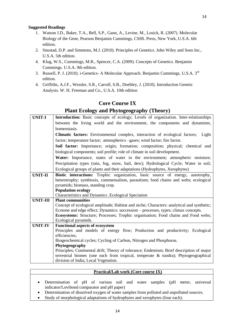- 1. Watson J.D., Baker, T.A., Bell, S.P., Gann, A., Levine, M., Losick, R. (2007). Molecular Biology of the Gene, Pearson Benjamin Cummings, CSHL Press, New York, U.S.A. 6th edition.
- 2. Snustad, D.P. and Simmons, M.J. (2010). Principles of Genetics. John Wiley and Sons Inc., U.S.A. 5th edition.
- 4. Klug, W.S., Cummings, M.R., Spencer, C.A. (2009). Concepts of Genetics. Benjamin Cummings. U.S.A. 9th edition.
- 3. Russell, P. J. (2010). i-Genetics- A Molecular Approach. Benjamin Cummings, U.S.A. 3rd edition.
- 4. Griffiths, A.J.F., Wessler, S.R., Carroll, S.B., Doebley, J. (2010). Introduction Genetic Analysis. W. H. Freeman and Co., U.S.A. 10th edition

# **Core Course IX**

# **Plant Ecology and Phytogeography (Theory)**

| <b>UNIT-I</b>   | Introduction: Basic concepts of ecology; Levels of organization. Inter-relationships      |
|-----------------|-------------------------------------------------------------------------------------------|
|                 | between the living world and the environment, the components and dynamism,                |
|                 | homeostasis.                                                                              |
|                 | Climatic factors: Environmental complex, interaction of ecological factors;<br>Light      |
|                 | factor; temperature factor; atmospherics -gases; wind factor; fire factor.                |
|                 | Soil factor: Importance; origin; formation; composition; physical; chemical and           |
|                 | biological components; soil profile; role of climate in soil development.                 |
|                 | Water: Importance, states of water in the environment; atmospheric moisture;              |
|                 | Precipitation types (rain, fog, snow, hail, dew); Hydrological Cycle; Water in soil;      |
|                 | Ecological groups of plants and their adaptations (Hydrophytes, Xerophytes)               |
| <b>UNIT-II</b>  | Biotic interactions: Trophic organization, basic source of energy, autotrophy,            |
|                 | heterotrophy; symbiosis, commensalism, parasitism; food chains and webs; ecological       |
|                 | pyramids; biomass, standing crop.                                                         |
|                 | <b>Population ecology</b>                                                                 |
|                 | Characteristics and Dynamics . Ecological Speciation                                      |
| <b>UNIT-III</b> | <b>Plant communities</b>                                                                  |
|                 | Concept of ecological amplitude; Habitat and niche; Characters: analytical and synthetic; |
|                 | Ecotone and edge effect; Dynamics: succession – processes, types; climax concepts.        |
|                 | Ecosystems: Structure; Processes; Trophic organisation; Food chains and Food webs;        |
|                 | Ecological pyramids.                                                                      |
| <b>UNIT-IV</b>  | <b>Functional aspects of ecosystem</b>                                                    |
|                 | Principles and models of energy flow; Production and productivity; Ecological             |
|                 | efficiencies;                                                                             |
|                 | Biogeochemical cycles; Cycling of Carbon, Nitrogen and Phosphorus.                        |
|                 | Phytogeography                                                                            |
|                 | Principles; Continental drift; Theory of tolerance; Endemism; Brief description of major  |
|                 | terrestrial biomes (one each from tropical, temperate & tundra); Phytogeographical        |
|                 | division of India; Local Vegetation.                                                      |

### **Practical/Lab work (Core course IX)**

- Determination of pH of various soil and water samples (pH meter, universal indicator/Lovibond comparator and pH paper)
- Determination of dissolved oxygen of water samples from polluted and unpolluted sources.
- Study of morphological adaptations of hydrophytes and xerophytes (four each).

14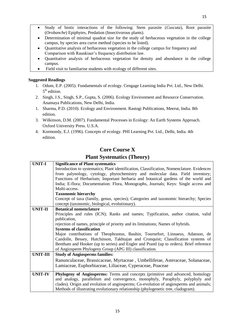- Study of biotic interactions of the following: Stem parasite (*Cuscuta*), Root parasite (*Orobanche*) Epiphytes, Predation (Insectivorous plants).
- Determination of minimal quadrat size for the study of herbaceous vegetation in the college campus, by species area curve method (species to be listed).
- Quantitative analysis of herbaceous vegetation in the college campus for frequency and Comparison with Raunkiaer's frequency distribution law.
- Quantitative analysis of herbaceous vegetation for density and abundance in the college campus.
- Field visit to familiarise students with ecology of different sites.

- 1. Odum, E.P. (2005). Fundamentals of ecology. Cengage Learning India Pvt. Ltd., New Delhi. 5<sup>th</sup> edition.
- 2. Singh, J.S., Singh, S.P., Gupta, S. (2006). Ecology Environment and Resource Conservation. Anamaya Publications, New Delhi, India.
- 1. Sharma, P.D. (2010). Ecology and Environment. Rastogi Publications, Meerut, India. 8th edition.
- 3. Wilkinson, D.M. (2007). Fundamental Processes in Ecology: An Earth Systems Approach. Oxford University Press. U.S.A.
- 4. Kormondy, E.J. (1996). Concepts of ecology. PHI Learning Pvt. Ltd., Delhi, India. 4th edition.

# **Core Course X**

# **Plant Systematics (Theory)**

| <b>UNIT-I</b><br><b>Significance of Plant systematics</b> |                                                                                            |  |
|-----------------------------------------------------------|--------------------------------------------------------------------------------------------|--|
|                                                           | Introduction to systematics; Plant identification, Classification, Nomenclature. Evidences |  |
|                                                           | from palynology, cytology, phytochemistry and molecular data. Field inventory;             |  |
|                                                           | Functions of Herbarium; Important herbaria and botanical gardens of the world and          |  |
|                                                           | India; E-flora; Documentation: Flora, Monographs, Journals; Keys: Single access and        |  |
|                                                           | Multi-access.                                                                              |  |
|                                                           | <b>Taxonomic hierarchy</b>                                                                 |  |
|                                                           | Concept of taxa (family, genus, species); Categories and taxonomic hierarchy; Species      |  |
|                                                           | concept (taxonomic, biological, evolutionary).                                             |  |
| <b>UNIT-II</b>                                            | <b>Botanical nomenclature</b>                                                              |  |
|                                                           | Principles and rules (ICN); Ranks and names; Typification, author citation, valid          |  |
|                                                           | publication,                                                                               |  |
|                                                           | rejection of names, principle of priority and its limitations; Names of hybrids.           |  |
|                                                           | <b>Systems of classification</b>                                                           |  |
|                                                           | Major contributions of Theophrastus, Bauhin, Tournefort, Linnaeus, Adanson, de             |  |
|                                                           | Candolle, Bessey, Hutchinson, Takhtajan and Cronquist; Classification systems of           |  |
|                                                           | Bentham and Hooker (up to series) and Engler and Prantl (up to orders). Brief reference    |  |
|                                                           | of Angiosperm Phylogeny Group (APG III) classification.                                    |  |
| <b>UNIT-III</b>                                           | <b>Study of Angiosperms families:</b>                                                      |  |
|                                                           | Ranunculaceae, Brassicaceae, Myrtaceae, Umbelliferae, Asteraceae, Solanaceae,              |  |
|                                                           | Lamiaceae, Euphorbiaceae, Liliaceae, Cyperaceae, Poaceae                                   |  |
|                                                           |                                                                                            |  |
| <b>UNIT-IV</b>                                            | <b>Phylogeny of Angiosperms:</b> Terms and concepts (primitive and advanced, homology      |  |
|                                                           | and analogy, parallelism and convergence, monophyly, Paraphyly, polyphyly and              |  |
|                                                           | clades). Origin and evolution of angiosperms; Co-evolution of angiosperms and animals;     |  |
|                                                           | Methods of illustrating evolutionary relationship (phylogenetic tree, cladogram).          |  |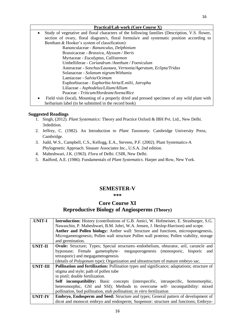### **Practical/Lab work (Core Course X)** Study of vegetative and floral characters of the following families (Description, V.S. flower, section of ovary, floral diagram/s, floral formula/e and systematic position according to Bentham & Hooker's system of classification): Ranunculaceae - *Ranunculus, Delphinium* Brassicaceae - *Brassica, Alyssum / Iberis* Myrtaceae - *Eucalyptus, Callistemon* Umbelliferae - *Coriandrum /Anethum / Foeniculum* Asteraceae - *Sonchus/Launaea, Vernonia/Ageratum, Eclipta/Tridax* Solanaceae - *Solanum nigrum/Withania* Lamiaceae - *Salvia/Ocimum* Euphorbiaceae - *Euphorbia hirta/E.milii, Jatropha* Liliaceae - *Asphodelus/Lilium/Allium* Poaceae - *Triticum/Hordeum/Avena/Rice*

 Field visit (local), Mounting of a properly dried and pressed specimen of any wild plant with herbarium label (to be submitted in the record book)

## **Suggested Readings**

- 1. Singh, (2012). *Plant Systematics:* Theory and Practice Oxford & IBH Pvt. Ltd., New Delhi. 3rdedition.
- 2. Jeffrey, C. (1982). An Introduction to *Plant Taxonomy.* Cambridge University Press, Cambridge.
- 3. Judd, W.S., Campbell, C.S., Kellogg, E.A., Stevens, P.F. (2002). Plant Systematics-A Phylogenetic Approach. Sinauer Associates Inc., U.S.A. 2nd edition.
- 4. Maheshwari, J.K. (1963). *Flora* of Delhi. CSIR, New Delhi.
- 5. Radford, A.E. (1986). Fundamentals of *Plant Systematics*. Harper and Row, New York.

# **SEMESTER-V**

**\*\*\***

# **Core Course XI Reproductive Biology of Angiosperms (Theory)**

| <b>UNIT-I</b>   | <b>Introduction:</b> History (contributions of G.B. Amici, W. Hofmeister, E. Strasburger, S.G.      |
|-----------------|-----------------------------------------------------------------------------------------------------|
|                 | Nawaschin, P. Maheshwari, B.M. Johri, W.A. Jensen, J. Heslop-Harrison) and scope.                   |
|                 | Anther and Pollen biology: Anther wall: Structure and functions, microsporogenesis,                 |
|                 | Microgametogenesis; Pollen wall structure Pollen wall proteins; Pollen viability, storage           |
|                 | and germination.                                                                                    |
| <b>UNIT-II</b>  | <b>Ovule:</b> Structure; Types; Special structures-endothelium, obturator, aril, caruncle and       |
|                 | hypostase; Female gametophyte- megasporogenesis (monosporic, bisporic<br>and                        |
|                 | tetrasporic) and megagametogenesis                                                                  |
|                 | (details of <i>Polygonum</i> type); Organization and ultrastructure of mature embryo sac.           |
| <b>UNIT-III</b> | <b>Pollination and fertilization:</b> Pollination types and significance; adaptations; structure of |
|                 | stigma and style; path of pollen tube                                                               |
|                 | in pistil; double fertilization.                                                                    |
|                 | <b>Self incompatibility:</b> Basic concepts (interspecific, intraspecific, homomorphic,             |
|                 | heteromorphic, GSI and SSI); Methods to overcome self- incompatibility: mixed                       |
|                 | pollination, bud pollination, stub pollination; in vitro fertilization                              |
| <b>UNIT-IV</b>  | Embryo, Endosperm and Seed: Structure and types; General pattern of development of                  |
|                 | dicot and monocot embryo and endosperm; Suspensor: structure and functions; Embryo-                 |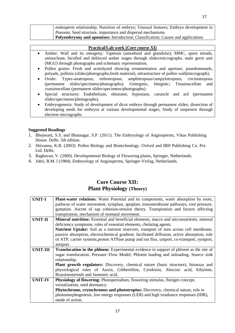| endosperm relationship; Nutrition of embryo; Unusual features; Embryo development in    |
|-----------------------------------------------------------------------------------------|
| <i>Paeonia.</i> Seed structure, importance and dispersal mechanisms                     |
| <b>Polyembryony and apomixes:</b> Introduction; Classification; Causes and applications |

### **Practical/Lab work (Core course XI)**

- Anther: Wall and its ontogeny; Tapetum (amoeboid and glandular); MMC, spore tetrads, uninucleate, bicelled and dehisced anther stages through slides/micrographs, male germ unit (MGU) through photographs and schematic representation.
- Pollen grains: Fresh and acetolyzed showing ornamentation and aperture, psuedomonads, polyads, pollinia (slides/photographs,fresh material), ultrastructure of pollen wall(micrograph);
- Ovule: Types-anatropous, orthotropous, amphitropous/campylotropous, circinotropous (permanent slides/specimens/photographs); Unitegmic, bitegmic; Tenuinucellate and crassinucellate (permanent slides/specimens/photographs).
- Special structures: Endothelium, obturator, hypostase, caruncle and aril (permanent slides/specimens/photographs).
- Embryogenesis: Study of development of dicot embryo through permanent slides; dissection of developing seeds for embryos at various developmental stages; Study of suspensor through electron micrographs.

### **Suggested Readings**

- 1. Bhojwani, S.S. and Bhatnagar, S.P. (2011). The Embryology of Angiosperms, Vikas Publishing House. Delhi. 5th edition.
- 2. Shivanna, K.R. (2003). Pollen Biology and Biotechnology. Oxford and IBH Publishing Co. Pvt. Ltd. Delhi.
- 3. Raghavan, V. (2000). Developmental Biology of Flowering plants, Springer, Netherlands.
- 4. Johri, B.M. l (1984). Embryology of Angiosperms, Springer-Verlag, Netherlands.

# **Core Course XII: Plant Physiology (Theory)**

| <b>UNIT-I</b>  | <b>Plant-water relations:</b> Water Potential and its components, water absorption by roots,   |  |
|----------------|------------------------------------------------------------------------------------------------|--|
|                | pathway of water movement, symplast, apoplast, transmembrane pathways, root pressure,          |  |
|                | guttation. Ascent of sap cohesion-tension theory. Transpiration and factors affecting          |  |
|                | transpiration, mechanism of stomatal movement.                                                 |  |
| <b>UNIT-II</b> | <b>Mineral nutrition:</b> Essential and beneficial elements, macro and micronutrients, mineral |  |
|                | deficiency symptoms, roles of essential elements, chelating agents.                            |  |
|                | Nutrient Uptake: Soil as a nutrient reservoir, transport of ions across cell membrane,         |  |
|                | passive absorption, electrochemical gradient, facilitated diffusion, active absorption, role   |  |
|                | of ATP, carrier systems, proton ATPase pump and ion flux, uniport, co-transport, symport,      |  |
|                | antiport.                                                                                      |  |
| UNIT-III       | <b>Translocation in the phloem:</b> Experimental evidence in support of phloem as the site of  |  |
|                | sugar translocation. Pressure–Flow Model; Phloem loading and unloading; Source–sink            |  |
|                | relationship.                                                                                  |  |
|                | <b>Plant growth regulators:</b> Discovery, chemical nature (basic structure), bioassay and     |  |
|                | physiological roles of Auxin, Gibberellins, Cytokinin, Abscisic acid, Ethylene,                |  |
|                | Brassinosteroids and Jasmonic acid.                                                            |  |
| <b>UNIT-IV</b> | <b>Physiology of flowering:</b> Photoperiodism, flowering stimulus, florigen concept,          |  |
|                | vernalization, seed dormancy.                                                                  |  |
|                | <b>Phytochrome, crytochromes and phototropins:</b> Discovery, chemical nature, role in         |  |
|                | photomorphogenesis, low energy responses (LER) and high irradiance responses (HIR),            |  |
|                | mode of action.                                                                                |  |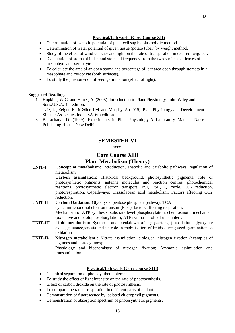### **Practical/Lab work (Core Course XII)**

- Determination of osmotic potential of plant cell sap by plasmolytic method.
- Determination of water potential of given tissue (potato tuber) by weight method.
- Study of the effect of wind velocity and light on the rate of transpiration in excised twig/leaf.
- Calculation of stomatal index and stomatal frequency from the two surfaces of leaves of a mesophyte and xerophyte.
- To calculate the area of an open stoma and percentage of leaf area open through stomata in a mesophyte and xerophyte (both surfaces).
- To study the phenomenon of seed germination (effect of light).

### **Suggested Readings**

- 1. Hopkins, W.G. and Huner, A. (2008). Introduction to Plant Physiology. John Wiley and Sons.U.S.A. 4th edition.
- 2. Taiz, L., Zeiger, E., MØller, I.M. and Murphy, A (2015). Plant Physiology and Development. Sinauer Associates Inc. USA. 6th edition.
- 3. Bajracharya D. (1999). Experiments in Plant Physiology-A Laboratory Manual. Narosa Publishing House, New Delhi.

## **SEMESTER-VI**

#### **\*\*\***

# **Core Course XIII Plant Metabolism (Theory)**

| <b>UNIT-I</b>  | Concept of metabolism: Introduction, anabolic and catabolic pathways, regulation of               |
|----------------|---------------------------------------------------------------------------------------------------|
|                | metabolism                                                                                        |
|                | <b>Carbon assimilation:</b> Historical background, photosynthetic pigments, role of               |
|                | photosynthetic pigments, antenna molecules and reaction centres, photochemical                    |
|                | reactions, photosynthetic electron transport, PSI, PSII, Q cycle, CO <sub>2</sub> reduction,      |
|                | photorespiration, C4pathways; Crassulacean acid metabolism; Factors affecting CO2                 |
|                | reduction.                                                                                        |
| <b>UNIT-II</b> | Carbon Oxidation: Glycolysis, pentose phosphate pathway, TCA                                      |
|                | cycle, mitichondrial electron transort (ETC), factors affecting respiration.                      |
|                | Mechanism of ATP synthesis, substrate level phosphorylation, chemiosmotic mechanism               |
|                | (oxidative and photophosphorylation), ATP synthase, role of uncouplers.                           |
| UNIT-III       | <b>Lipid metabolism:</b> Synthesis and breakdown of triglycerides, $\beta$ -oxidation, glyoxylate |
|                | cycle, gluconeogenesis and its role in mobilisation of lipids during seed germination, $\alpha$   |
|                | oxidation.                                                                                        |
| <b>UNIT-IV</b> | Nitrogen metabolism: Nitrate assimilation, biological nitrogen fixation (examples of              |
|                | legumes and non-legumes);                                                                         |
|                | Physiology and biochemistry of nitrogen fixation; Ammonia assimilation and                        |
|                | transamination                                                                                    |

### **Practical/Lab work (Core course XIII)**

- Chemical separation of photosynthetic pigments.
- To study the effect of light intensity on the rate of photosynthesis.
- Effect of carbon dioxide on the rate of photosynthesis.
- To compare the rate of respiration in different parts of a plant.
- Demonstration of fluorescence by isolated chlorophyll pigments.
- Demonstration of absorption spectrum of photosynthetic pigments.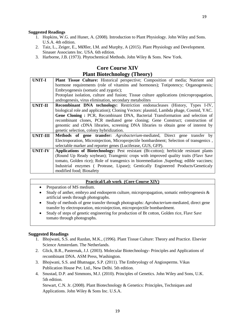- 1. Hopkins, W.G. and Huner, A. (2008). Introduction to Plant Physiology. John Wiley and Sons. U.S.A. 4th edition.
- 2. Taiz, L., Zeiger, E., MØller, I.M. and Murphy, A (2015). Plant Physiology and Development. Sinauer Associates Inc. USA. 6th edition.
- 3. Harborne, J.B. (1973). Phytochemical Methods. John Wiley & Sons. New York.

# **Core Course XIV**

### **Plant Biotechnology (Theory)**

| <b>UNIT-I</b>  | Plant Tissue Culture: Historical perspective; Composition of media; Nutrient and         |
|----------------|------------------------------------------------------------------------------------------|
|                | hormone requirements (role of vitamins and hormones); Totipotency; Organogenesis;        |
|                | Embryogenesis (somatic and zygotic);                                                     |
|                | Protoplast isolation, culture and fusion; Tissue culture applications (micropropagation, |
|                | androgenesis, virus elimination, secondary metabolites                                   |
| UNIT-II        | <b>Recombinant DNA technology:</b> Restriction endonucleases (History, Types I-IV,       |
|                | biological role and application); Cloning Vectors: plasmid, Lambda phage, Cosmid, YAC.   |
|                | Gene Cloning: PCR, Recombinant DNA, Bacterial Transformation and selection of            |
|                | recombinant clones, PCR mediated gene cloning; Gene Construct; construction of           |
|                | genomic and cDNA libraries, screening DNA libraries to obtain gene of interest by        |
|                | genetic selection, colony hybridization.                                                 |
| UNIT-III       | Methods of gene transfer: Agrobacterium-mediated, Direct gene transfer by                |
|                | Electroporation, Microinjection, Microprojectile bombardment; Selection of transgenics,  |
|                | selectable marker and reporter genes (Luciferase, GUS, GFP).                             |
| <b>UNIT-IV</b> | Applications of Biotechnology: Pest resistant (Bt-cotton); herbicide resistant plants    |
|                | (Round Up Ready soybean); Transgenic crops with improved quality traits (Flavr Savr      |
|                | tomato, Golden rice); Role of transgenics in bioremediation , Superbug; edible vaccines; |
|                | Industrial enzymes (Protease, Lipase); Gentically Engineered Products/Geneticaly         |
|                | modified food; Biosafety                                                                 |

#### **Practical/Lab work (Core Course XIV)**

- Preparation of MS medium.
- Study of anther, embryo and endosperm culture, micropropagation, somatic embryogenesis & artificial seeds through photographs.
- Study of methods of gene transfer through photographs: *Agrobacterium*-mediated, direct gene transfer by electroporation, microinjection, microprojectile bombardment.
- Study of steps of genetic engineering for production of Bt cotton, Golden rice, Flavr Savr tomato through photographs.

#### **Suggested Readings**

- 1. Bhojwani, S.S. and Razdan, M.K., (1996). Plant Tissue Culture: Theory and Practice. Elsevier Science Amsterdam. The Netherlands.
- 2. Glick, B.R., Pasternak, J.J. (2003). Molecular Biotechnology- Principles and Applications of recombinant DNA. ASM Press, Washington.
- 3. Bhojwani, S.S. and Bhatnagar, S.P. (2011). The Embryology of Angiosperms. Vikas Publication House Pvt. Ltd., New Delhi. 5th edition.
- 4. Snustad, D.P. and Simmons, M.J. (2010). Principles of Genetics. John Wiley and Sons, U.K. 5th edition.

Stewart, C.N. Jr. (2008). Plant Biotechnology & Genetics: Principles, Techniques and Applications. John Wiley & Sons Inc. U.S.A.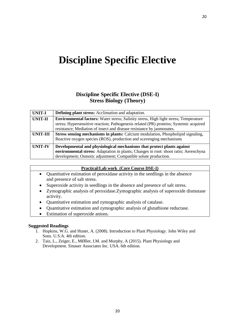# **Discipline Specific Elective**

# **Discipline Specific Elective (DSE-I) Stress Biology (Theory)**

| <b>UNIT-I</b>  | <b>Defining plant stress:</b> Acclimation and adaptation.                                   |
|----------------|---------------------------------------------------------------------------------------------|
| <b>UNIT-II</b> | <b>Environmental factors:</b> Water stress; Salinity stress, High light stress; Temperature |
|                | stress; Hypersensitive reaction; Pathogenesis related (PR) proteins; Systemic acquired      |
|                | resistance; Mediation of insect and disease resistance by jasmonates.                       |
| UNIT-III       | <b>Stress sensing mechanisms in plants:</b> Calcium modulation, Phospholipid signaling,     |
|                | Reactive oxygen species (ROS), production and scavenging mechanisms                         |
| <b>UNIT-IV</b> | Developmental and physiological mechanisms that protect plants against                      |
|                | environmental stress: Adaptation in plants; Changes in root: shoot ratio; Aerenchyna        |
|                | development; Osmotic adjustment; Compatible solute production.                              |

|           | <b>Practical/Lab work (Core Course DSE-I)</b>                                                                  |
|-----------|----------------------------------------------------------------------------------------------------------------|
| $\bullet$ | Quantitative estimation of peroxidase activity in the seedlings in the absence<br>and presence of salt stress. |
| $\bullet$ | Superoxide activity in seedlings in the absence and presence of salt stress.                                   |
| $\bullet$ | Zymographic analysis of peroxidase. Zymographic analysis of superoxide dismutase<br>activity.                  |
| ٠         | Quantitative estimation and zymographic analysis of catalase.                                                  |

- Quantitative estimation and zymographic analysis of glutathione reductase.
- Estimation of superoxide anions.

- 1. Hopkins, W.G. and Huner, A. (2008). Introduction to Plant Physiology. John Wiley and Sons. U.S.A. 4th edition.
- 2. Taiz, L., Zeiger, E., MØller, I.M. and Murphy, A (2015). Plant Physiology and Development. Sinauer Associates Inc. USA. 6th edition.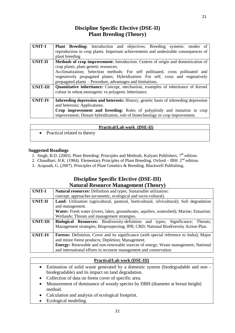# **Discipline Specific Elective (DSE-II) Plant Breeding (Theory)**

| <b>UNIT-I</b>   | <b>Plant Breeding:</b> Introduction and objectives. Breeding systems: modes of<br>reproduction in crop plants. Important achievements and undesirable consequences of<br>plant breeding                                                                                                                                                                      |  |
|-----------------|--------------------------------------------------------------------------------------------------------------------------------------------------------------------------------------------------------------------------------------------------------------------------------------------------------------------------------------------------------------|--|
| <b>UNIT-II</b>  | Methods of crop improvement: Introduction: Centres of origin and domestication of<br>crop plants, plant genetic resources;<br>Acclimatization; Selection methods: For self pollinated, cross pollinated and<br>vegetatively propagated plants; Hybridization: For self, cross and vegetatively<br>propagated plants – Procedure, advantages and limitations. |  |
| <b>UNIT-III</b> | <b>Quantitative inheritance:</b> Concept, mechanism, examples of inheritance of Kernel<br>colour in wheat.monogenic vs polygenic Inheritance.                                                                                                                                                                                                                |  |
| <b>UNIT-IV</b>  | Inbreeding depression and heterosis: History, genetic basis of inbreeding depression<br>and heterosis; Applications.<br>Crop improvement and breeding: Roles of polyploidy and mutation in crop<br>improvement; Distant hybridization, role of biotechnology in crop improvement.                                                                            |  |

|                             | Practical/Lab work (DSE-II) |
|-----------------------------|-----------------------------|
| Practical related to theory |                             |

### **Suggested Readings**

- 1. Singh, B.D. (2005). Plant Breeding: Principles and Methods. Kalyani Publishers.  $7<sup>th</sup>$  edition.
- 2. Chaudhari, H.K. (1984). Elementary Principles of Plant Breeding. Oxford IBH. 2<sup>nd</sup> edition.
- 3. Acquaah, G. (2007). Principles of Plant Genetics & Breeding. Blackwell Publishing.

# **Discipline Specific Elective (DSE-III) Natural Resource Management (Theory)**

| <b>UNIT-I</b>   | <b>Natural resources:</b> Definition and types. Sustainable utilization:                        |
|-----------------|-------------------------------------------------------------------------------------------------|
|                 | concept, approaches (economic, ecological and socio-cultural).                                  |
|                 |                                                                                                 |
| <b>UNIT-II</b>  | Land: Utilization (agricultural, pastoral, horticultural, silvicultural); Soil degradation      |
|                 | and management.                                                                                 |
|                 | Water: Fresh water (rivers, lakes, groundwater, aquifers, watershed); Marine; Estuarine;        |
|                 | Wetlands; Threats and management strategies.                                                    |
| <b>UNIT-III</b> | Biological Resources: Biodiversity-definition and types; Significance;<br>Threats;              |
|                 | Management strategies; Bioprospecting; IPR; CBD; National Biodiversity Action Plan.             |
|                 |                                                                                                 |
| <b>UNIT-IV</b>  | <b>Forests:</b> Definition, Cover and its significance (with special reference to India); Major |
|                 | and minor forest products; Depletion; Management.                                               |
|                 | <b>Energy:</b> Renewable and non-renewable sources of energy; Waste management; National        |
|                 | and international efforts in recourse management and conservation                               |

## **Practical/Lab work (DSE-III)**

- Estimation of solid waste generated by a domestic system (biodegradable and non biodegradable) and its impact on land degradation.
- Collection of data on forest cover of specific area.
- Measurement of dominance of woody species by DBH (diameter at breast height) method.
- Calculation and analysis of ecological footprint.
- Ecological modeling.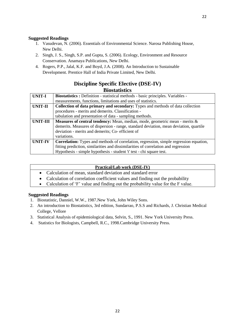- 1. Vasudevan, N. (2006). Essentials of Environmental Science. Narosa Publishing House, New Delhi.
- 2. Singh, J. S., Singh, S.P. and Gupta, S. (2006). Ecology, Environment and Resource Conservation. Anamaya Publications, New Delhi.
- 4. Rogers, P.P., Jalal, K.F. and Boyd, J.A. (2008). An Introduction to Sustainable Development. Prentice Hall of India Private Limited, New Delhi.

# **Discipline Specific Elective (DSE-IV) Biostatistics**

| <b>UNIT-I</b>   | Biostatistics : Definition - statistical methods - basic principles. Variables -       |  |
|-----------------|----------------------------------------------------------------------------------------|--|
|                 | measurements, functions, limitations and uses of statistics.                           |  |
| <b>UNIT-II</b>  | Collection of data primary and secondary: Types and methods of data collection         |  |
|                 | procedures - merits and demerits. Classification -                                     |  |
|                 | tabulation and presentation of data - sampling methods.                                |  |
| <b>UNIT-III</b> | <b>Measures of central tendency:</b> Mean, median, mode, geometric mean - merits $\&$  |  |
|                 | demerits. Measures of dispersion - range, standard deviation, mean deviation, quartile |  |
|                 | deviation - merits and demerits; Co- efficient of                                      |  |
|                 | variations.                                                                            |  |
| <b>UNIT-IV</b>  | Correlation: Types and methods of correlation, regression, simple regression equation, |  |
|                 | fitting prediction, similarities and dissimilarities of correlation and regression     |  |
|                 | Hypothesis - simple hypothesis - student 't' test - chi square test.                   |  |

### **Practical/Lab work (DSE-IV)**

- Calculation of mean, standard deviation and standard error
- Calculation of correlation coefficient values and finding out the probability
- Calculation of 'F' value and finding out the probability value for the F value.

- 1. Biostatistic, Danniel, W.W., 1987.New York, John Wiley Sons.
- 2. An introduction to Biostatistics, 3rd edition, Sundarrao, P.S.S and Richards, J. Christian Medical College, Vellore
- 3. Statistical Analysis of epidemiological data, Selvin, S., 1991. New York University Press.
- 4. Statistics for Biologists, Campbell, R.C., 1998.Cambridge University Press.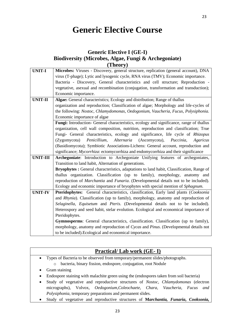# **Generic Elective Course**

# **Generic Elective I (GE-I) Biodiversity (Microbes, Algae, Fungi & Archegoniate) (Theory)**

| <b>UNIT-I</b>   | Microbes: Viruses - Discovery, general structure, replication (general account), DNA               |
|-----------------|----------------------------------------------------------------------------------------------------|
|                 | virus (T-phage); Lytic and lysogenic cycle, RNA virus (TMV); Economic importance.                  |
|                 | Bacteria - Discovery, General characteristics and cell structure; Reproduction -                   |
|                 | vegetative, asexual and recombination (conjugation, transformation and transduction);              |
|                 | Economic importance.                                                                               |
| <b>UNIT-II</b>  | Algae: General characteristics; Ecology and distribution; Range of thallus                         |
|                 | organization and reproduction; Classification of algae; Morphology and life-cycles of              |
|                 | the following: Nostoc, Chlamydomonas, Oedogonium, Vaucheria, Fucus, Polysiphonia.                  |
|                 | Economic importance of algae                                                                       |
|                 | Fungi: Introduction- General characteristics, ecology and significance, range of thallus           |
|                 | organization, cell wall composition, nutrition, reproduction and classification; True              |
|                 | Fungi- General characteristics, ecology and significance, life cycle of Rhizopus                   |
|                 | Alternaria (Ascornycota),<br>Puccinia,<br>Penicillium,<br>Agaricus<br>(Zygomycota)                 |
|                 | (Basidiomycota); Symbiotic Associations-Lichens: General account, reproduction and                 |
|                 | significance; <i>Mycorrhiza</i> : ectomycorrhiza and endomycorrhiza and their significance         |
| <b>UNIT-III</b> | Archegoniate: Introduction to Archegoniate Unifying features of archegoniates,                     |
|                 | Transition to land habit, Alternation of generations.                                              |
|                 | Bryophytes : General characteristics, adaptations to land habit, Classification, Range of          |
|                 | thallus organization. Classification (up to family), morphology, anatomy and                       |
|                 | reproduction of <i>Marchantia</i> and <i>Funaria</i> . (Developmental details not to be included). |
|                 | Ecology and economic importance of bryophytes with special mention of Sphagnum.                    |
| <b>UNIT-IV</b>  | Pteridophytes: General characteristics, classification, Early land plants (Cooksonia               |
|                 | and Rhynia). Classification (up to family), morphology, anatomy and reproduction of                |
|                 | Selaginella, Equisetum and Pteris. (Developmental details not to be included).                     |
|                 | Heterospory and seed habit, stelar evolution. Ecological and economical importance of              |
|                 | Pteridophytes.                                                                                     |
|                 | Gymnosperms: General characteristics, classification. Classification (up to family),               |
|                 | morphology, anatomy and reproduction of Cycas and Pinus. (Developmental details not                |
|                 | to be included). Ecological and economical importance.                                             |
|                 |                                                                                                    |

# **Practical/ Lab work (GE- I)**

- Types of Bacteria to be observed from temporary/permanent slides/photographs.
	- o bacteria, binary fission, endospore, conjugation, root Nodule
- Gram staining
- Endospore staining with malachite green using the (endospores taken from soil bacteria)
- Study of vegetative and reproductive structures of *Nostoc, Chlamydomonas* (electron micrographs), Volvox, *Oedogonium,Coleochaete, Chara, Vaucheria, Fucus and Polysiphonia,* temporary preparations and permanent slides.
- Study of vegetative and reproductive structures of **M***archantia, Funaria***,** *Cooksonia,*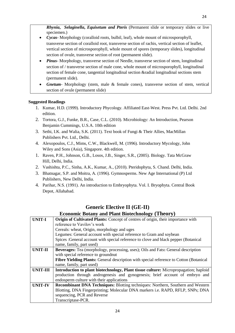*Rhynia***,** *Selaginella***,** *Equisetum and Pteris* (Permanent slide or temporary slides or live speciemen.)

- *Cycas* Morphology (coralloid roots, bulbil, leaf), whole mount of microsporophyll, transverse section of coralloid root, transverse section of rachis, vertical section of leaflet, vertical section of microsporophyll, whole mount of spores (temporary slides), longitudinal section of ovule, transverse section of root (permanent slide).
- *Pinus* Morphology, transverse section of Needle, transverse section of stem, longitudinal section of / transverse section of male cone, whole mount of microsporophyll, longitudinal section of female cone, tangential longitudinal section &radial longitudinal sections stem (permanent slide).
- *Gnetum* Morphology (stem, male & female cones), transverse section of stem, vertical section of ovule (permanent slide)

### **Suggested Readings**

- 1. Kumar, H.D. (1999). Introductory Phycology. Affiliated East-West. Press Pvt. Ltd. Delhi. 2nd edition.
- 2. Tortora, G.J., Funke, B.R., Case, C.L. (2010). Microbiology: An Introduction, Pearson Benjamin Cummings, U.S.A. 10th edition
- 3. Sethi, I.K. and Walia, S.K. (2011). Text book of Fungi & Their Allies, MacMillan Publishers Pvt. Ltd., Delhi.
- 4. Alexopoulos, C.J., Mims, C.W., Blackwell, M. (1996). Introductory Mycology, John Wiley and Sons (Asia), Singapore. 4th edition.
- 1. Raven, P.H., Johnson, G.B., Losos, J.B., Singer, S.R., (2005). Biology. Tata McGraw Hill, Delhi, India.
- 2. Vashishta, P.C., Sinha, A.K., Kumar, A., (2010). Pteridophyta, S. Chand. Delhi, India.
- 3. Bhatnagar, S.P. and Moitra, A. (1996). Gymnosperms. New Age International (P) Ltd Publishers, New Delhi, India.
- 4. Parihar, N.S. (1991). An introduction to Embryophyta. Vol. I. Bryophyta. Central Book Depot, Allahabad.

# **Generic Elective II (GE-II)**

# **Economic Botany and Plant Biotechnology (Theory)**

| <b>UNIT-I</b>                                                                                       | Origin of Cultivated Plants: Concept of centres of origin, their importance with            |  |
|-----------------------------------------------------------------------------------------------------|---------------------------------------------------------------------------------------------|--|
|                                                                                                     | reference to Vavilov's work                                                                 |  |
|                                                                                                     | Cereals: wheat, Origin, morphology and uges                                                 |  |
|                                                                                                     | Legumes: General account with special reference to Gram and soybean                         |  |
|                                                                                                     | Spices :General account with special reference to clove and black pepper (Botanical         |  |
|                                                                                                     | name, family, part used)                                                                    |  |
| Beverages: Tea (morphology, processing, uses); Oils and Fats: General description<br><b>UNIT-II</b> |                                                                                             |  |
|                                                                                                     | with special reference to ground nut                                                        |  |
|                                                                                                     | Fibre Yielding Plants: General description with special reference to Cotton (Botanical      |  |
|                                                                                                     | name, family, part used)                                                                    |  |
| <b>UNIT-III</b>                                                                                     | <b>Introduction to plant biotechnology, Plant tissue culture:</b> Micropropagation; haploid |  |
|                                                                                                     | production through androgenesis and gynogenesis; brief account of embryo and                |  |
|                                                                                                     | endosperm culture with their applications                                                   |  |
| <b>UNIT-IV</b>                                                                                      | <b>Recombinant DNA Techniques:</b> Blotting techniques: Northern, Southern and Western      |  |
|                                                                                                     | Blotting, DNA Fingerprinting; Molecular DNA markers i.e. RAPD, RFLP, SNPs; DNA              |  |
|                                                                                                     | sequencing, PCR and Reverse                                                                 |  |
|                                                                                                     | Transcriptase-PCR.                                                                          |  |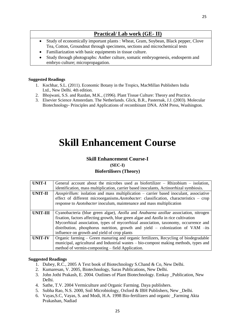# **Practical/ Lab work (GE- II)**

- Study of economically important plants : Wheat, Gram, Soybean, Black pepper, Clove Tea, Cotton, Groundnut through specimens, sections and microchemical tests
- Familiarization with basic equipments in tissue culture.
- Study through photographs: Anther culture, somatic embryogenesis, endosperm and embryo culture; micropropagation.

### **Suggested Readings**

- 1. Kochhar, S.L. (2011). Economic Botany in the Tropics, MacMillan Publishers India Ltd., New Delhi. 4th edition.
- 2. Bhojwani, S.S. and Razdan, M.K., (1996). Plant Tissue Culture: Theory and Practice.
- 3. Elsevier Science Amsterdam. The Netherlands. Glick, B.R., Pasternak, J.J. (2003). Molecular Biotechnology- Principles and Applications of recombinant DNA. ASM Press, Washington.

# **Skill Enhancement Course**

### **Skill Enhancement Course-I**

**(SEC-I)**

### **Biofertilisers (Theory)**

| <b>UNIT-I</b>   | General account about the microbes used as biofertilizer $-$ Rhizobium $-$ isolation,<br>identification, mass multiplication, carrier based inoculants, Actinorrhizal symbiosis.                                                                                                                                                                                                                     |  |
|-----------------|------------------------------------------------------------------------------------------------------------------------------------------------------------------------------------------------------------------------------------------------------------------------------------------------------------------------------------------------------------------------------------------------------|--|
| <b>UNIT-II</b>  | <i>Azospirillum:</i> isolation and mass multiplication – carrier based inoculant, associative<br>effect of different microorganisms.Azotobacter: classification, characteristics – crop<br>response to <i>Azotobacter</i> inoculum, maintenance and mass multiplication                                                                                                                              |  |
| <b>UNIT-III</b> | Cyanobacteria (blue green algae), Azolla and Anabaena azollae association, nitrogen<br>fixation, factors affecting growth, blue green algae and Azolla in rice cultivation<br>Mycorrhizal association, types of mycorrhizal association, taxonomy, occurrence and<br>distribution, phosphorus nutrition, growth and yield – colonization of VAM –its<br>influence on growth and yield of crop plants |  |
| <b>UNIT-IV</b>  | Organic farming – Green manuring and organic fertilizers, Recycling of biodegradable<br>municipal, agricultural and Industrial wastes – bio-compost making methods, types and<br>method of vermin-composting – field Application.                                                                                                                                                                    |  |

- 1. Dubey, R.C., 2005 A Text book of Biotechnology S.Chand & Co, New Delhi.
- 2. Kumaresan, V. 2005, Biotechnology, Saras Publications, New Delhi.
- 3. John Jothi Prakash, E. 2004. Outlines of Plant Biotechnology. Emkay \_Publication, New Delhi.
- 4. Sathe, T.V. 2004 Vermiculture and Organic Farming. Daya publishers.
- 5. Subha Rao, N.S. 2000, Soil Microbiology, Oxford & IBH Publishers, New \_Delhi.
- 6. Vayas,S.C, Vayas, S. and Modi, H.A. 1998 Bio-fertilizers and organic \_Farming Akta Prakashan, Nadiad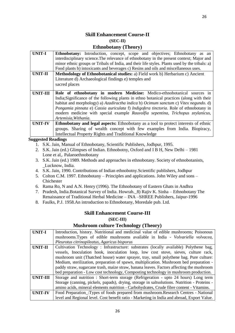# **Skill Enhancement Course-II (SEC-II)**

### **Ethnobotany (Theory)**

| <b>UNIT-I</b>  | <b>Ethnobotany:</b> Introduction, concept, scope and objectives; Ethnobotany as an             |
|----------------|------------------------------------------------------------------------------------------------|
|                | interdisciplinary science. The relevance of ethnobotany in the present context; Major and      |
|                | minor ethnic groups or Tribals of India, and their life styles. Plants used by the tribals: a) |
|                | Food plants b) intoxicants and beverages c) Resins and oils and miscellaneous uses.            |
| <b>UNIT-II</b> | Methodology of Ethnobotanical studies: a) Field work b) Herbarium c) Ancient                   |
|                | Literature d) Archaeological findings e) temples and                                           |
|                | sacred places                                                                                  |
|                |                                                                                                |
| UNIT-III       | Role of ethnobotany in modern Medicine: Medico-ethnobotanical sources in                       |
|                | India; Significance of the following plants in ethno botanical practices (along with their     |
|                | habitat and morphology) a) Azadiractha indica b) Ocimum sanctum c) Vitex negundo. d)           |
|                | Pongamia pinnata e) Cassia auriculata f) Indigofera tinctoria. Role of ethnobotany in          |
|                | modern medicine with special example Rauvolfia sepentina, Trichopus zeylanicus,                |
|                | Artemisia, Withania.                                                                           |
| <b>UNIT-IV</b> | <b>Ethnobotany and legal aspects:</b> Ethnobotany as a tool to protect interests of ethnic     |
|                | groups. Sharing of wealth concept with few examples from India. Biopiracy,                     |
|                | Intellectual Property Rights and Traditional Knowledge                                         |

### **Suggested Readings**

- 1. S.K. Jain, Manual of Ethnobotany, Scientific Publishers, Jodhpur, 1995.
- 2. S.K. Jain (ed.) Glimpses of Indian. Ethnobotny, Oxford and I B H, New Delhi 1981 Lone et al,. Palaeoethnobotany
- 3. S.K. Jain (ed.) 1989. Methods and approaches in ethnobotany. Society of ethnobotanists, \_Lucknow, India.
- 4. S.K. Jain, 1990. Contributions of Indian ethnobotny.Scientific publishers, Jodhpur
- 5. Colton C.M. 1997. Ethnobotany Principles and applications. John Wiley and sons Chichester
- 6. Rama Ro, N and A.N. Henry (1996). The Ethnobotany of Eastern Ghats in Andhra
- 7. Pradesh, India.Botanical Survey of India. Howrah.\_8) Rajiv K. Sinha Ethnobotany The Renaissance of Traditional Herbal Medicine – INA –SHREE Publishers, Jaipur-1996
- 8. Faulks, P.J. 1958.An introduction to Ethnobotany, Moredale pub. Ltd.

### **Skill Enhancement Course-III**

### **(SEC-III)**

# **Mushroom culture Technology (Theory)**

| <b>UNIT-I</b>   | Introduction, history. Nutritional and medicinal value of edible mushrooms; Poisonous        |  |
|-----------------|----------------------------------------------------------------------------------------------|--|
|                 | mushrooms. Types of edible mushrooms available in India - Volvariella volvacea,              |  |
|                 | Pleurotus citrinopileatus, Agaricus bisporus                                                 |  |
| <b>UNIT-II</b>  | Cultivation Technology : Infrastructure: substrates (locally available) Polythene bag,       |  |
|                 | vessels, Inoculation hook, inoculation loop, low cost stove, sieves, culture rack,           |  |
|                 | mushroom unit (Thatched house) water sprayer, tray, small polythene bag. Pure culture:       |  |
|                 | Medium, sterilization, preparation of spawn, multiplication. Mushroom bed preparation -      |  |
|                 | paddy straw, sugarcane trash, maize straw, banana leaves. Factors affecting the mushroom     |  |
|                 | bed preparation - Low cost technology, Composting technology in mushroom production.         |  |
| <b>UNIT-III</b> | Storage and nutrition : Short-term storage (Refrigeration - upto 24 hours) Long term         |  |
|                 | Storage (canning, pickels, papads), drying, storage in saltsolutions. Nutrition - Proteins - |  |
|                 | amino acids, mineral elements nutrition - Carbohydrates, Crude fibre content - Vitamins.     |  |
| <b>UNIT-IV</b>  | Food Preparation : Types of foods prepared from mushroom. Research Centres - National        |  |
|                 | level and Regional level. Cost benefit ratio - Marketing in India and abroad, Export Value.  |  |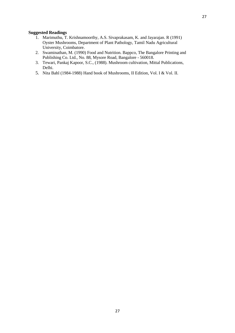- 1. Marimuthu, T. Krishnamoorthy, A.S. Sivaprakasam, K. and Jayarajan. R (1991) Oyster Mushrooms, Department of Plant Pathology, Tamil Nadu Agricultural University, Coimbatore.
- 2. Swaminathan, M. (1990) Food and Nutrition. Bappco, The Bangalore Printing and Publishing Co. Ltd., No. 88, Mysore Road, Bangalore - 560018.
- 3. Tewari, Pankaj Kapoor, S.C., (1988). Mushroom cultivation, Mittal Publications, Delhi.
- 5. Nita Bahl (1984-1988) Hand book of Mushrooms, II Edition, Vol. I & Vol. II.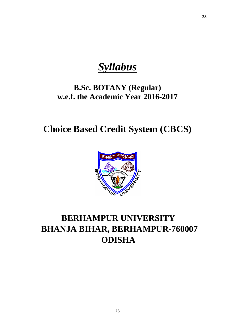*Syllabus*

# **B.Sc. BOTANY (Regular) w.e.f. the Academic Year 2016-2017**

**Choice Based Credit System (CBCS)**



# **BERHAMPUR UNIVERSITY BHANJA BIHAR, BERHAMPUR-760007 ODISHA**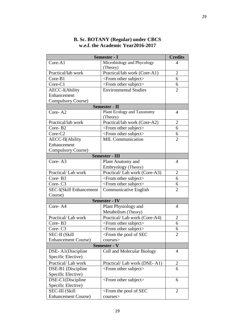| Semester - I<br><b>Credits</b> |                                                                                    |                |
|--------------------------------|------------------------------------------------------------------------------------|----------------|
| Core-A1                        | Microbiology and Phycology<br>(Theory)                                             | 4              |
| Practical/lab work             | Practical/lab work (Core-A1)                                                       | $\overline{2}$ |
| Core-B1                        | <from other="" subject=""></from>                                                  | 6              |
| Core-C1                        | <from other="" subject=""></from>                                                  | 6              |
| <b>AECC-I</b> (Ability         | <b>Environmental Studies</b>                                                       | $\overline{2}$ |
| Enhancement                    |                                                                                    |                |
| <b>Compulsory Course)</b>      |                                                                                    |                |
|                                | <b>Semester - II</b>                                                               |                |
| Core-A <sub>2</sub>            | Plant Ecology and Taxonomy<br>(Theory)                                             | $\overline{4}$ |
| Practical/lab work             | Practical/lab work (Core-A2)                                                       | $\overline{2}$ |
| Core-B2                        | <from other="" subject=""></from>                                                  | 6              |
| Core-C <sub>2</sub>            | <from other="" subject=""></from>                                                  | 6              |
| AECC-II(Ability                | <b>MIL Communication</b>                                                           | $\overline{2}$ |
| Enhancement                    |                                                                                    |                |
| <b>Compulsory Course)</b>      |                                                                                    |                |
|                                | <b>Semester - III</b>                                                              |                |
| Core-A3                        | Plant Anatomy and                                                                  | $\overline{4}$ |
|                                | Embryology (Theory)                                                                |                |
| Practical/Lab work             | Practical/Lab work (Core-A3)                                                       | $\overline{2}$ |
| Core-B3                        | <from other="" subject=""></from>                                                  | 6              |
| Core-C <sub>3</sub>            | <from other="" subject=""></from>                                                  | 6              |
| <b>SEC-I(Skill Enhancement</b> | Communicative English                                                              | $\overline{2}$ |
| Course)                        |                                                                                    |                |
|                                | <b>Semester - IV</b>                                                               |                |
| Core-A4                        | Plant Physiology and                                                               | 4              |
|                                | Metabolism (Theory)                                                                |                |
| Practical/Lab work             | Practical/Lab work (Core-A4)                                                       | $\overline{2}$ |
| Core-B <sub>3</sub>            | $\le$ From other subject $>$                                                       | 6              |
| Core-C <sub>3</sub>            | <from other="" subject=""></from>                                                  | 6              |
| <b>SEC-II (Skill</b>           | $\le$ From the pool of SEC                                                         | 2              |
| <b>Enhancement Course)</b>     | courses>                                                                           |                |
| Semester - V                   |                                                                                    |                |
| DSE-A1(Discipline              | Cell and Molecular Biology                                                         | $\overline{4}$ |
| Specific Elective)             |                                                                                    |                |
| Practical/Lab work             | Practical/Lab work (DSE-A1)                                                        | 2              |
| DSE-B1 (Discipline             | <from other="" subject=""></from>                                                  | 6              |
| Specific Elective)             |                                                                                    |                |
| DSE-C1(Discipline              | <from other="" subject=""></from>                                                  | 6              |
| Specific Elective)             |                                                                                    |                |
| <b>SEC-III (Skill</b>          | <from of="" pool="" sec<="" td="" the=""><td><math>\overline{2}</math></td></from> | $\overline{2}$ |
| <b>Enhancement Course)</b>     | courses>                                                                           |                |

# **B. Sc. BOTANY (Regular) under CBCS w.e.f. the Academic Year2016-2017**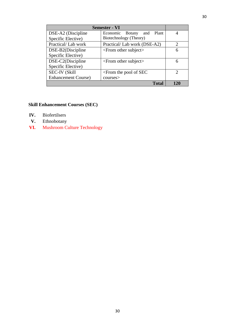| <b>Semester - VI</b>                              |                              |                             |
|---------------------------------------------------|------------------------------|-----------------------------|
| DSE-A2 (Discipline                                | Economic Botany<br>and Plant |                             |
| Specific Elective)                                | Biotechnology (Theory)       |                             |
| Practical/Lab work<br>Practical/Lab work (DSE-A2) |                              | $\mathcal{D}_{\mathcal{L}}$ |
| DSE-B2(Discipline                                 | $\le$ From other subject $>$ | 6                           |
| Specific Elective)                                |                              |                             |
| DSE-C2(Discipline                                 | $\le$ From other subject $>$ | 6                           |
| Specific Elective)                                |                              |                             |
| <b>SEC-IV (Skill</b>                              | $\le$ From the pool of SEC   | 2                           |
| <b>Enhancement Course</b> )                       | course                       |                             |
|                                                   | <b>Total</b>                 | 120                         |

# **Skill Enhancement Courses (SEC)**

- **IV.** Biofertilsers
- **V.** Ethnobotany
- **VI.** Mushroom Culture Technology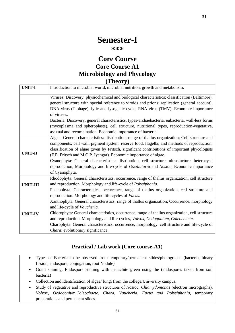# **Semester-I**

# **\*\*\***

# **Core Course Core Course A1 Microbiology and Phycology (Theory)**

| <b>UNIT-I</b>   | Introduction to microbial world, microbial nutrition, growth and metabolism.                           |
|-----------------|--------------------------------------------------------------------------------------------------------|
|                 | Viruses: Discovery, physiochemical and biological characteristics; classification (Baltimore),         |
|                 | general structure with special reference to viroids and prions; replication (general account),         |
|                 | DNA virus (T-phage), lytic and lysogenic cycle; RNA virus (TMV). Economic importance                   |
|                 | of viruses.                                                                                            |
|                 | Bacteria: Discovery, general characteristics, types-archaebacteria, eubacteria, wall-less forms        |
|                 | (mycoplasma and spheroplasts), cell structure, nutritional types, reproduction-vegetative,             |
|                 | asexual and recombination. Economic importance of bacteria                                             |
|                 | Algae: General characteristics: distribution; range of thallus organization; Cell structure and        |
|                 | components; cell wall, pigment system, reserve food, flagella; and methods of reproduction;            |
| <b>UNIT-II</b>  | classification of algae given by Fritsch, significant contributions of important phycologists          |
|                 | (F.E. Fritsch and M.O.P. Iyengar). Economic importance of algae.                                       |
|                 | Cyanophyta: General characteristics: distribution, cell structure, ultrastucture, heterocyst,          |
|                 | reproduction; Morphology and life-cycle of <i>Oscillatoria</i> and <i>Nostoc</i> ; Economic importance |
|                 | of Cyanophyta.                                                                                         |
|                 | Rhodophyta: General characteristics, occurrence, range of thallus organization, cell structure         |
| <b>UNIT-III</b> | and reproduction. Morphology and life-cycle of Polysiphonia.                                           |
|                 | Phaeophyta: Characteristics, occurrence, range of thallus organization, cell structure and             |
|                 | reproduction. Morphology and life-cycles of <i>Fucus</i> .                                             |
|                 | Xanthophyta: General characteristics; range of thallus organization; Occurrence, morphology            |
|                 | and life-cycle of Vaucheria.                                                                           |
| <b>UNIT-IV</b>  | Chlorophyta: General characteristics, occurrence, range of thallus organization, cell structure        |
|                 | and reproduction. Morphology and life-cycles, Volvox, Oedogonium, Coleochaete.                         |
|                 | Charophyta: General characteristics; occurrence, morphology, cell structure and life-cycle of          |
|                 | Chara; evolutionary significance.                                                                      |

# **Practical / Lab work (Core course-A1)**

- Types of Bacteria to be observed from temporary/permanent slides/photographs (bacteria, binary fission, endospore, conjugation, root Nodule)
- Gram staining, Endospore staining with malachite green using the (endospores taken from soil bacteria)
- Collection and identification of algae/ fungi from the college/University campus.
- Study of vegetative and reproductive structures of *Nostoc, Chlamydomonas* (electron micrographs), *Volvox, Oedogonium,Coleochaete, Chara, Vaucheria, Fucus and Polysiphonia,* temporary preparations and permanent slides.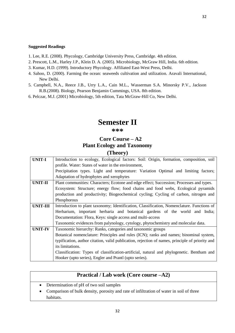- 1. Lee, R.E. (2008). Phycology, Cambridge University Press, Cambridge. 4th edition.
- 2. Prescott, L.M., Harley J.P., Klein D. A. (2005). Microbiology, McGraw Hill, India. 6th edition.
- 3. Kumar, H.D. (1999). Introductory Phycology. Affiliated East-West Press, Delhi.
- 4. Sahoo, D. (2000). Farming the ocean: seaweeds cultivation and utilization. Aravali International, New Delhi.
- 5. Campbell, N.A., Reece J.B., Urry L.A., Cain M.L., Wasserman S.A. Minorsky P.V., Jackson R.B.(2008). Biology, Pearson Benjamin Cummings, USA. 8th edition.
- 6. Pelczar, M.J. (2001) Microbiology, 5th edition, Tata McGraw-Hill Co, New Delhi.

# **Semester II**

### **\*\*\***

# **Core Course – A2 Plant Ecology and Taxonomy (Theory)**

| <b>UNIT-I</b>   | Introduction to ecology, Ecological factors: Soil: Origin, formation, composition, soil         |
|-----------------|-------------------------------------------------------------------------------------------------|
|                 | profile. Water: States of water in the environment,                                             |
|                 | Precipitation types. Light and temperature: Variation Optimal and limiting factors;             |
|                 | Adaptation of hydrophytes and xerophytes                                                        |
| <b>UNIT-II</b>  | Plant communities: Characters; Ecotone and edge effect; Succession; Processes and types.        |
|                 | Ecosystem: Structure; energy flow; food chains and food webs, Ecological pyramids               |
|                 | production and productivity; Biogeochemical cycling; Cycling of carbon, nitrogen and            |
|                 | Phosphorous                                                                                     |
| <b>UNIT-III</b> | Introduction to plant taxonomy; Identification, Classification, Nomenclature. Functions of      |
|                 | Herbarium, important herbaria and botanical gardens of the world and India;                     |
|                 | Documentation: Flora, Keys: single access and multi-access                                      |
|                 | Taxonomic evidences from palynology, cytology, phytochemistry and molecular data.               |
| <b>UNIT-IV</b>  | Taxonomic hierarchy: Ranks, categories and taxonomic groups                                     |
|                 | Botanical nomenclature: Principles and rules (ICN); ranks and names; binominal system,          |
|                 | typification, author citation, valid publication, rejection of names, principle of priority and |
|                 | its limitations.                                                                                |
|                 | Classification: Types of classification-artificial, natural and phylogenetic. Bentham and       |
|                 | Hooker (upto series), Engler and Prantl (upto series).                                          |

|  | Practical / Lab work (Core course –A2)                                                    |
|--|-------------------------------------------------------------------------------------------|
|  | • Determination of pH of two soil samples                                                 |
|  | • Comparison of bulk density, porosity and rate of infiltration of water in soil of three |
|  | habitats.                                                                                 |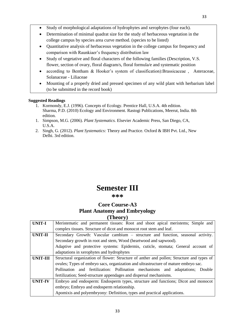- Study of morphological adaptations of hydrophytes and xerophytes (four each).
- Determination of minimal quadrat size for the study of herbaceous vegetation in the college campus by species area curve method. (species to be listed)
- Quantitative analysis of herbaceous vegetation in the college campus for frequency and comparison with Raunkiaer's frequency distribution law
- Study of vegetative and floral characters of the following families (Description, V.S. flower, section of ovary, floral diagram/s, floral formula/e and systematic position
- according to Bentham & Hooker's system of classification):Brassicaceae , Asteraceae, Solanaceae - Liliaceae
- Mounting of a properly dried and pressed specimen of any wild plant with herbarium label (to be submitted in the record book)

- 1. Kormondy, E.J. (1996). Concepts of Ecology. Prentice Hall, U.S.A. 4th edition. Sharma, P.D. (2010) Ecology and Environment. Rastogi Publications, Meerut, India. 8th edition.
- 1. Simpson, M.G. (2006). *Plant Systematics.* Elsevier Academic Press, San Diego, CA, U.S.A.
- 2. Singh, G. (2012). *Plant Systematics:* Theory and Practice. Oxford & IBH Pvt. Ltd., New Delhi. 3rd edition.

# **Semester III**

## **\*\*\***

# **Core Course-A3 Plant Anatomy and Embryology (Theory)**

| <b>UNIT-I</b>   | Meristematic and permanent tissues: Root and shoot apical meristems; Simple and           |  |
|-----------------|-------------------------------------------------------------------------------------------|--|
|                 | complex tissues. Structure of dicot and monocot root stem and leaf.                       |  |
| <b>UNIT-II</b>  | Secondary Growth: Vascular cambium – structure and function, seasonal activity.           |  |
|                 | Secondary growth in root and stem, Wood (heartwood and sapwood).                          |  |
|                 | Adaptive and protective systems: Epidermis, cuticle, stomata; General account of          |  |
|                 | adaptations in xerophytes and hydrophytes                                                 |  |
| <b>UNIT-III</b> | Structural organization of flower: Structure of anther and pollen; Structure and types of |  |
|                 | ovules; Types of embryo sacs, organization and ultrastructure of mature embryo sac.       |  |
|                 | Pollination and fertilization: Pollination mechanisms and adaptations; Double             |  |
|                 | fertilization; Seed-structure appendages and dispersal mechanisms.                        |  |
| <b>UNIT-IV</b>  | Embryo and endosperm: Endosperm types, structure and functions; Dicot and monocot         |  |
|                 | embryo; Embryo and endosperm relationship.                                                |  |
|                 | Apomixis and polyembryony: Definition, types and practical applications.                  |  |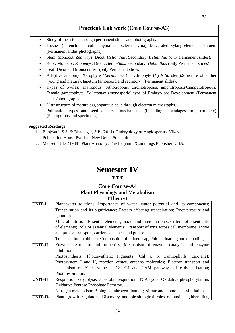# **Practical/ Lab work (Core Course-A3)**

- Study of meristems through permanent slides and photographs.
- Tissues (parenchyma, collenchyma and sclerenchyma); Macerated xylary elements, Phloem (Permanent slides/photographs)
- Stem: Monocot: *Zea mays;* Dicot: *Helianthus*; Secondary: *Helianthus* (only Permanent slides).
- Root: Monocot: *Zea mays*; Dicot: *Helianthus*; Secondary: *Helianthus* (only Permanent slides).
- Leaf: Dicot and Monocot leaf (only Permanent slides).
- Adaptive anatomy: Xerophyte (*Nerium* leaf); Hydrophyte (*Hydrilla* stem).Structure of anther (young and mature), tapetum (amoeboid and secretory) (Permanent slides).
- Types of ovules: anatropous, orthotropous, circinotropous, amphitropous/Campylotropous; Female gametophyte: *Polygonum* (monosporic) type of Embryo sac Development (Permanent slides/photographs).
- Ultrastructure of mature egg apparatus cells through electron micrographs. Pollination types and seed dispersal mechanisms (including appendages, aril, caruncle) (Photographs and specimens)

### **Suggested Readings**

- 1. Bhojwani, S.S. & Bhatnagar, S.P. (2011). Embryology of Angiosperms. Vikas Publication House Pvt. Ltd. New Delhi. 5th edition
- 2. Mauseth, J.D. (1988). Plant Anatomy. The Benjamin/Cummings Publisher, USA.

# **Semester IV**

### **\*\*\***

# **Core Course-A4 Plant Physiology and Metabolism (Theory)**

| <b>UNIT-I</b>  | Plant-water relations: Importance of water, water potential and its components;           |
|----------------|-------------------------------------------------------------------------------------------|
|                | Transpiration and its significance; Factors affecting transpiration; Root pressure and    |
|                | guttation.                                                                                |
|                | Mineral nutrition: Essential elements, macro and micronutrients; Criteria of essentiality |
|                | of elements; Role of essential elements; Transport of ions across cell membrane, active   |
|                | and passive transport, carriers, channels and pumps.                                      |
|                | Translocation in phloem: Composition of phloem sap, Phloem loading and unloading          |
| <b>UNIT-II</b> | Enzymes: Structure and properties; Mechanism of enzyme catalysis and enzyme               |
|                | inhibition                                                                                |
|                | Photosynthesis: Photosynthetic Pigments (Ch1 a, b, xanthophylls, carotene);               |
|                | Photosystem I and II, reaction center, antenna molecules; Electron transport and          |
|                | mechanism of ATP synthesis; C3, C4 and CAM pathways of carbon fixation;                   |
|                | Photorespiration.                                                                         |
| UNIT-III       | Respiration: Glycolysis, anaerobic respiration, TCA cycle; Oxidative phosphorylation,     |
|                | Oxidative Pentose Phosphate Pathway.                                                      |
|                | Nitrogen metabolism: Biological nitrogen fixation; Nitrate and ammonia assimilation       |
| <b>UNIT-IV</b> | Plant growth regulators: Discovery and physiological roles of auxins, gibberellins,       |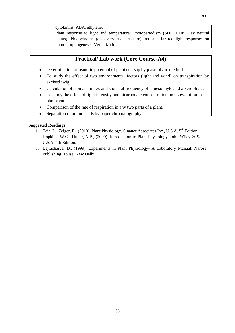| cytokinins, ABA, ethylene.                                                         |
|------------------------------------------------------------------------------------|
| Plant response to light and temperature: Photoperiodism (SDP, LDP, Day neutral     |
| plants); Phytochrome (discovery and structure), red and far red light responses on |
| photomorphogenesis; Vernalization.                                                 |

# **Practical/ Lab work (Core Course-A4)**

- Determination of osmotic potential of plant cell sap by plasmolytic method.
- To study the effect of two environmental factors (light and wind) on transpiration by excised twig.
- Calculation of stomatal index and stomatal frequency of a mesophyte and a xerophyte.
- To study the effect of light intensity and bicarbonate concentration on O2 evolution in photosynthesis.
- Comparison of the rate of respiration in any two parts of a plant.
- Separation of amino acids by paper chromatography.

- 1. Taiz, L., Zeiger, E., (2010). Plant Physiology. Sinauer Associates Inc., U.S.A. 5<sup>th</sup> Edition.
- 2. Hopkins, W.G., Huner, N.P., (2009). Introduction to Plant Physiology. John Wiley & Sons, U.S.A. 4th Edition.
- 3. Bajracharya, D., (1999). Experiments in Plant Physiology- A Laboratory Manual. Narosa Publishing House, New Delhi.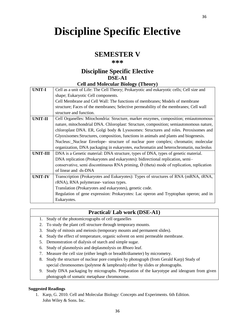# **Discipline Specific Elective**

# **SEMESTER V**

### **\*\*\***

## **Discipline Specific Elective DSE-A1 Cell and Molecular Biology (Theory)**

|                 | $\mathbf{C}$ ch and Molecanar Diology (Theory)                                                               |
|-----------------|--------------------------------------------------------------------------------------------------------------|
| <b>UNIT-I</b>   | Cell as a unit of Life: The Cell Theory; Prokaryotic and eukaryotic cells; Cell size and                     |
|                 | shape; Eukaryotic Cell components.                                                                           |
|                 | Cell Membrane and Cell Wall: The functions of membranes; Models of membrane                                  |
|                 | structure; Faces of the membranes; Selective permeability of the membranes; Cell wall                        |
|                 | structure and function.                                                                                      |
| <b>UNIT-II</b>  | Cell Organelles: Mitochondria: Structure, marker enzymes, composition; emiautonomous                         |
|                 | nature, mitochondrial DNA. Chloroplast: Structure, composition; semiautonomous nature,                       |
|                 | chloroplast DNA. ER, Golgi body & Lysosomes: Structures and roles. Peroxisomes and                           |
|                 | Glyoxisomes: Structures, composition, functions in animals and plants and biogenesis.                        |
|                 | Nucleus: Nuclear Envelope- structure of nuclear pore complex; chromatin; molecular                           |
|                 | organization, DNA packaging in eukaryotes, euchromatin and heterochromatin, nucleolus                        |
| <b>UNIT-III</b> | DNA is a Genetic material: DNA structure, types of DNA, types of genetic material.                           |
|                 | DNA replication (Prokaryotes and eukaryotes): bidirectional replication, semi-                               |
|                 | conservative, semi discontinuous RNA priming, $\acute{\varnothing}$ (theta) mode of replication, replication |
|                 | of linear and ds-DNA                                                                                         |
| <b>UNIT-IV</b>  | Transcription (Prokaryotes and Eukaryotes): Types of structures of RNA (mRNA, tRNA,                          |
|                 | rRNA), RNA polymerase-various types.                                                                         |
|                 | Translation (Prokaryotes and eukaryotes), genetic code.                                                      |
|                 | Regulation of gene expression: Prokaryotes: Lac operon and Tryptophan operon; and in                         |
|                 | Eukaryotes.                                                                                                  |

# **Practical/ Lab work (DSE-A1)**

- 1. Study of the photomicrographs of cell organelles
- 2. To study the plant cell structure through temporary mounts.
- 3. Study of mitosis and meiosis (temporary mounts and permanent slides).
- 4. Study the effect of temperature, organic solvent on semi permeable membrane.
- 5. Demonstration of dialysis of starch and simple sugar.
- 6. Study of plasmolysis and deplasmolysis on *Rhoeo* leaf.
- 7. Measure the cell size (either length or breadth/diameter) by micrometry.
- 8. Study the structure of nuclear pore complex by photograph (from Gerald Karp) Study of special chromosomes (polytene & lampbrush) either by slides or photographs.
- 9. Study DNA packaging by micrographs. Preparation of the karyotype and ideogram from given photograph of somatic metaphase chromosome.

### **Suggested Readings**

1. Karp, G. 2010. Cell and Molecular Biology: Concepts and Experiments. 6th Edition. John Wiley & Sons. Inc.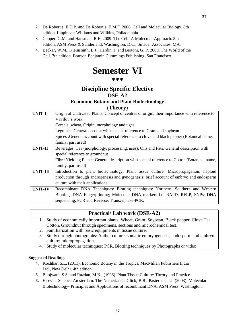- 2. De Robertis, E.D.P. and De Robertis, E.M.F. 2006. Cell and Molecular Biology. 8th edition. Lippincott Williams and Wilkins, Philadelphia.
- 3. Cooper, G.M. and Hausman, R.E. 2009. The Cell: A Molecular Approach. 5th edition. ASM Press & Sunderland, Washington, D.C.; Sinauer Associates, MA.
- 4. Becker, W.M., Kleinsmith, L.J., Hardin. J. and Bertoni, G. P. 2009. The World of the Cell. 7th edition. Pearson Benjamin Cummings Publishing, San Francisco.

# **Semester VI**

**\*\*\***

# **Discipline Specific Elective DSE-A2 Economic Botany and Plant Biotechnology**

### **(Theory)**

| <b>UNIT-I</b>   | Origin of Cultivated Plants: Concept of centres of origin, their importance with reference to |
|-----------------|-----------------------------------------------------------------------------------------------|
|                 | Vavilov's work                                                                                |
|                 | Cereals: wheat, Origin, morphology and uges                                                   |
|                 | Legumes: General account with special reference to Gram and soybean                           |
|                 | Spices : General account with special reference to clove and black pepper (Botanical name,    |
|                 | family, part used)                                                                            |
| <b>UNIT-II</b>  | Beverages: Tea (morphology, processing, uses); Oils and Fats: General description with        |
|                 | special reference to groundnut                                                                |
|                 | Fibre Yielding Plants: General description with special reference to Cotton (Botanical name,  |
|                 | family, part used)                                                                            |
| <b>UNIT-III</b> | Introduction to plant biotechnology, Plant tissue culture: Micropropagation; haploid          |
|                 | production through androgenesis and gynogenesis; brief account of embryo and endosperm        |
|                 | culture with their applications                                                               |
| <b>UNIT-IV</b>  | Recombinant DNA Techniques: Blotting techniques: Northern, Southern and Western               |
|                 | Blotting, DNA Fingerprinting; Molecular DNA markers i.e. RAPD, RFLP, SNPs; DNA                |
|                 | sequencing, PCR and Reverse, Transcriptase-PCR.                                               |
|                 |                                                                                               |

# **Practical/ Lab work (DSE-A2)**

- 1. Study of economically important plants: Wheat, Gram, Soybean, Black pepper, Clove Tea, Cotton, Groundnut through specimens, sections and microchemical test.
- 2. Familiarization with basic equipments in tissue culture.
- 3. Study through photographs: Anther culture, somatic embryogenesis, endosperm and embryo culture; micropropagation.
- 4. Study of molecular techniques: PCR, Blotting techniques by Photographs or video

- 4. Kochhar, S.L. (2011). Economic Botany in the Tropics, MacMillan Publishers India Ltd., New Delhi. 4th edition.
- 5. Bhojwani, S.S. and Razdan, M.K., (1996). Plant Tissue Culture: Theory and Practice.
- **6.** Elsevier Science Amsterdam. The Netherlands. Glick, B.R., Pasternak, J.J. (2003). Molecular Biotechnology- Principles and Applications of recombinant DNA. ASM Press, Washington.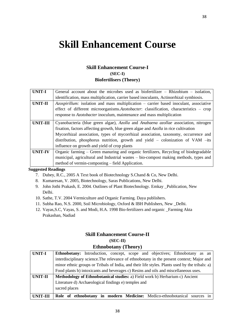# **Skill Enhancement Course**

# **Skill Enhancement Course-I (SEC-I) Biofertilisers (Theory)**

| <b>UNIT-I</b>   | General account about the microbes used as biofertilizer $-$ Rhizobium $-$ isolation,   |
|-----------------|-----------------------------------------------------------------------------------------|
|                 | identification, mass multiplication, carrier based inoculants, Actinorrhizal symbiosis. |
| <b>UNIT-II</b>  | Azospirillum: isolation and mass multiplication - carrier based inoculant, associative  |
|                 | effect of different microorganisms.Azotobacter: classification, characteristics – crop  |
|                 | response to <i>Azotobacter</i> inoculum, maintenance and mass multiplication            |
| <b>UNIT-III</b> | Cyanobacteria (blue green algae), Azolla and Anabaena azollae association, nitrogen     |
|                 | fixation, factors affecting growth, blue green algae and Azolla in rice cultivation     |
|                 | Mycorrhizal association, types of mycorrhizal association, taxonomy, occurrence and     |
|                 | distribution, phosphorus nutrition, growth and yield – colonization of VAM –its         |
|                 | influence on growth and yield of crop plants                                            |
| <b>UNIT-IV</b>  | Organic farming - Green manuring and organic fertilizers, Recycling of biodegradable    |
|                 | municipal, agricultural and Industrial wastes – bio-compost making methods, types and   |
|                 | method of vermin-composting – field Application.                                        |

### **Suggested Readings**

- 7. Dubey, R.C., 2005 A Text book of Biotechnology S.Chand & Co, New Delhi.
- 8. Kumaresan, V. 2005, Biotechnology, Saras Publications, New Delhi.
- 9. John Jothi Prakash, E. 2004. Outlines of Plant Biotechnology. Emkay \_Publication, New Delhi.
- 10. Sathe, T.V. 2004 Vermiculture and Organic Farming. Daya publishers.
- 11. Subha Rao, N.S. 2000, Soil Microbiology, Oxford & IBH Publishers, New \_Delhi.
- 12. Vayas,S.C, Vayas, S. and Modi, H.A. 1998 Bio-fertilizers and organic \_Farming Akta Prakashan, Nadiad

# **Skill Enhancement Course-II (SEC-II) Ethnobotany (Theory)**

| <b>UNIT-I</b>  | <b>Ethnobotany:</b> Introduction, concept, scope and objectives; Ethnobotany as an             |
|----------------|------------------------------------------------------------------------------------------------|
|                | interdisciplinary science. The relevance of ethnobotany in the present context; Major and      |
|                | minor ethnic groups or Tribals of India, and their life styles. Plants used by the tribals: a) |
|                | Food plants b) intoxicants and beverages c) Resins and oils and miscellaneous uses.            |
| <b>UNIT-II</b> | Methodology of Ethnobotanical studies: a) Field work b) Herbarium c) Ancient                   |
|                | Literature d) Archaeological findings e) temples and                                           |
|                | sacred places                                                                                  |
| UNIT-III       | Role of ethnobotany in modern Medicine: Medico-ethnobotanical<br>sources                       |